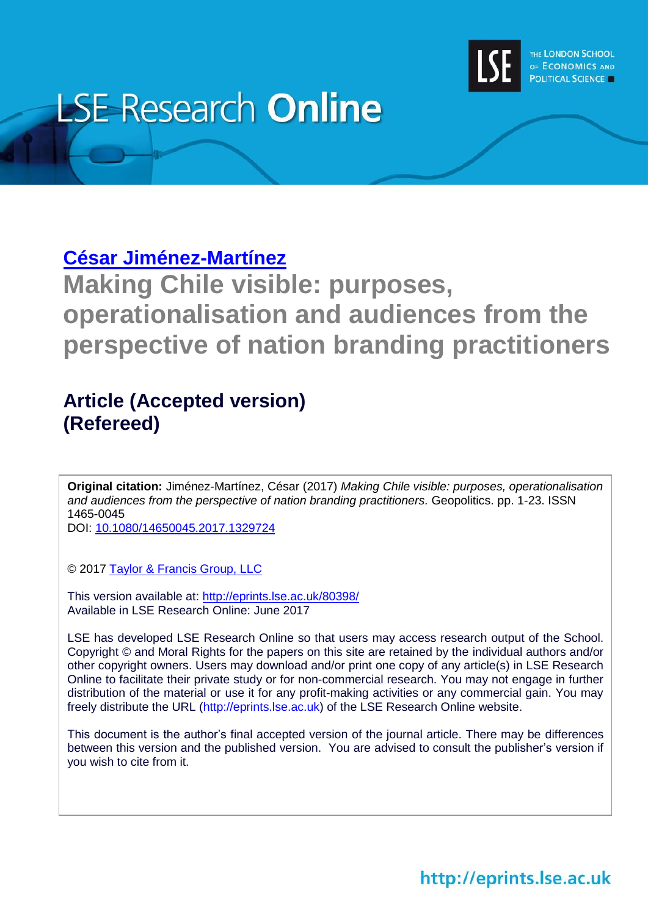

# **LSE Research Online**

## **César [Jiménez-Martínez](http://www.lse.ac.uk/media@lse/WhosWho/PhdResearchers/Cesar%20Jimenez.aspx)**

**Making Chile visible: purposes, operationalisation and audiences from the perspective of nation branding practitioners**

## **Article (Accepted version) (Refereed)**

**Original citation:** Jiménez-Martínez, César (2017) *Making Chile visible: purposes, operationalisation and audiences from the perspective of nation branding practitioners.* Geopolitics. pp. 1-23. ISSN 1465-0045

DOI: [10.1080/14650045.2017.1329724](http://dx.doi.org/10.1080/14650045.2017.1329724)

© 2017 [Taylor & Francis Group, LLC](http://taylorandfrancis.com/)

This version available at:<http://eprints.lse.ac.uk/80398/> Available in LSE Research Online: June 2017

LSE has developed LSE Research Online so that users may access research output of the School. Copyright © and Moral Rights for the papers on this site are retained by the individual authors and/or other copyright owners. Users may download and/or print one copy of any article(s) in LSE Research Online to facilitate their private study or for non-commercial research. You may not engage in further distribution of the material or use it for any profit-making activities or any commercial gain. You may freely distribute the URL (http://eprints.lse.ac.uk) of the LSE Research Online website.

This document is the author's final accepted version of the journal article. There may be differences between this version and the published version. You are advised to consult the publisher's version if you wish to cite from it.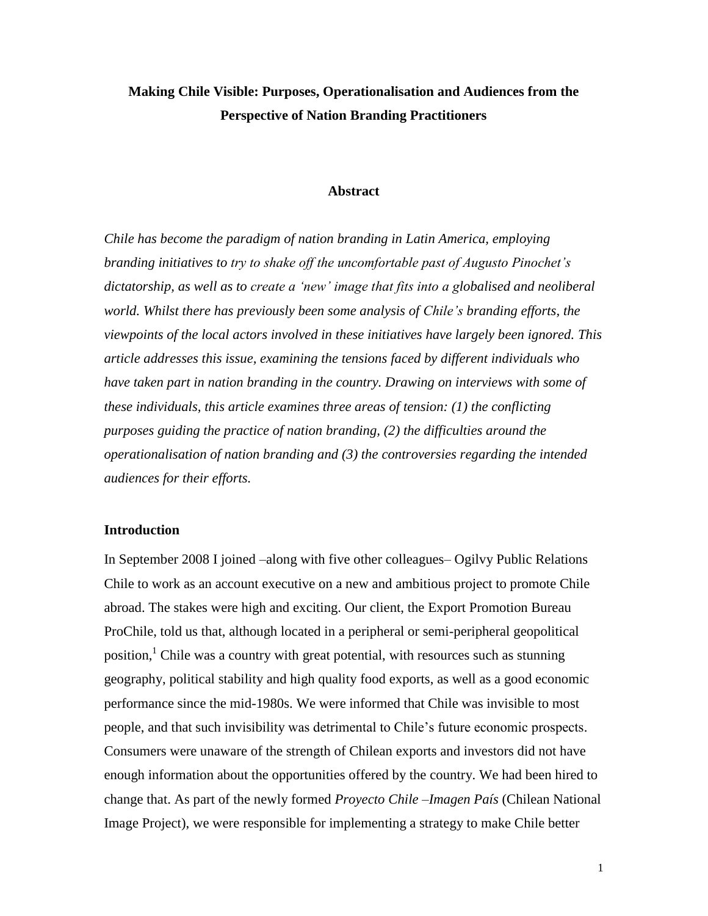### **Making Chile Visible: Purposes, Operationalisation and Audiences from the Perspective of Nation Branding Practitioners**

#### **Abstract**

*Chile has become the paradigm of nation branding in Latin America, employing branding initiatives to try to shake off the uncomfortable past of Augusto Pinochet's dictatorship, as well as to create a 'new' image that fits into a globalised and neoliberal world. Whilst there has previously been some analysis of Chile's branding efforts, the viewpoints of the local actors involved in these initiatives have largely been ignored. This article addresses this issue, examining the tensions faced by different individuals who have taken part in nation branding in the country. Drawing on interviews with some of these individuals, this article examines three areas of tension: (1) the conflicting purposes guiding the practice of nation branding, (2) the difficulties around the operationalisation of nation branding and (3) the controversies regarding the intended audiences for their efforts.*

#### **Introduction**

In September 2008 I joined –along with five other colleagues– Ogilvy Public Relations Chile to work as an account executive on a new and ambitious project to promote Chile abroad. The stakes were high and exciting. Our client, the Export Promotion Bureau ProChile, told us that, although located in a peripheral or semi-peripheral geopolitical position,<sup>1</sup> Chile was a country with great potential, with resources such as stunning geography, political stability and high quality food exports, as well as a good economic performance since the mid-1980s. We were informed that Chile was invisible to most people, and that such invisibility was detrimental to Chile's future economic prospects. Consumers were unaware of the strength of Chilean exports and investors did not have enough information about the opportunities offered by the country. We had been hired to change that. As part of the newly formed *Proyecto Chile –Imagen País* (Chilean National Image Project), we were responsible for implementing a strategy to make Chile better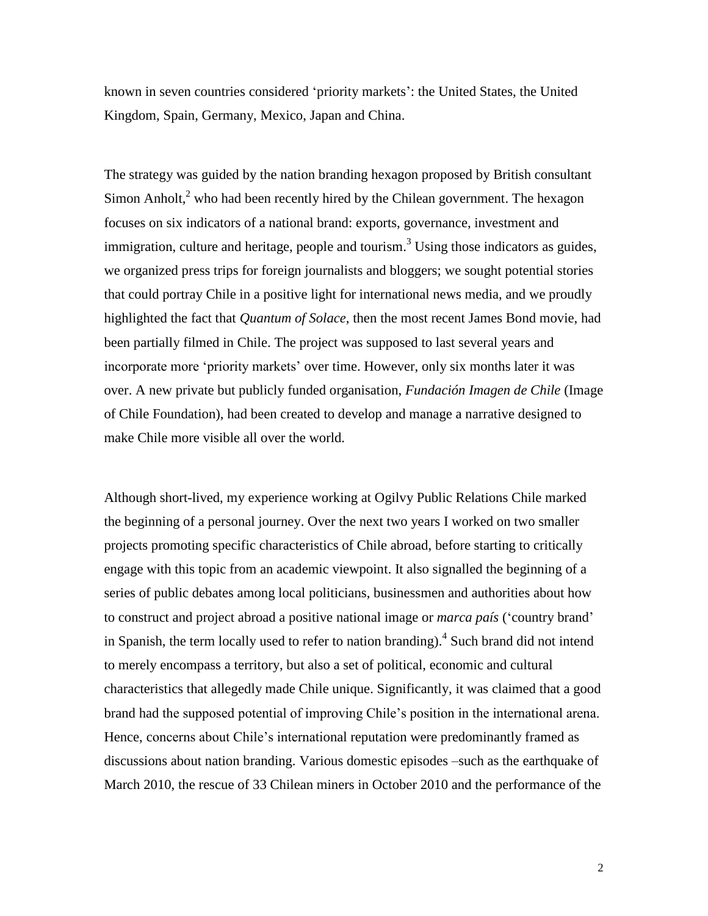known in seven countries considered 'priority markets': the United States, the United Kingdom, Spain, Germany, Mexico, Japan and China.

The strategy was guided by the nation branding hexagon proposed by British consultant Simon Anholt,<sup>2</sup> who had been recently hired by the Chilean government. The hexagon focuses on six indicators of a national brand: exports, governance, investment and immigration, culture and heritage, people and tourism.<sup>3</sup> Using those indicators as guides, we organized press trips for foreign journalists and bloggers; we sought potential stories that could portray Chile in a positive light for international news media, and we proudly highlighted the fact that *Quantum of Solace*, then the most recent James Bond movie, had been partially filmed in Chile. The project was supposed to last several years and incorporate more 'priority markets' over time. However, only six months later it was over. A new private but publicly funded organisation, *Fundación Imagen de Chile* (Image of Chile Foundation), had been created to develop and manage a narrative designed to make Chile more visible all over the world.

Although short-lived, my experience working at Ogilvy Public Relations Chile marked the beginning of a personal journey. Over the next two years I worked on two smaller projects promoting specific characteristics of Chile abroad, before starting to critically engage with this topic from an academic viewpoint. It also signalled the beginning of a series of public debates among local politicians, businessmen and authorities about how to construct and project abroad a positive national image or *marca país* ('country brand' in Spanish, the term locally used to refer to nation branding). 4 Such brand did not intend to merely encompass a territory, but also a set of political, economic and cultural characteristics that allegedly made Chile unique. Significantly, it was claimed that a good brand had the supposed potential of improving Chile's position in the international arena. Hence, concerns about Chile's international reputation were predominantly framed as discussions about nation branding. Various domestic episodes –such as the earthquake of March 2010, the rescue of 33 Chilean miners in October 2010 and the performance of the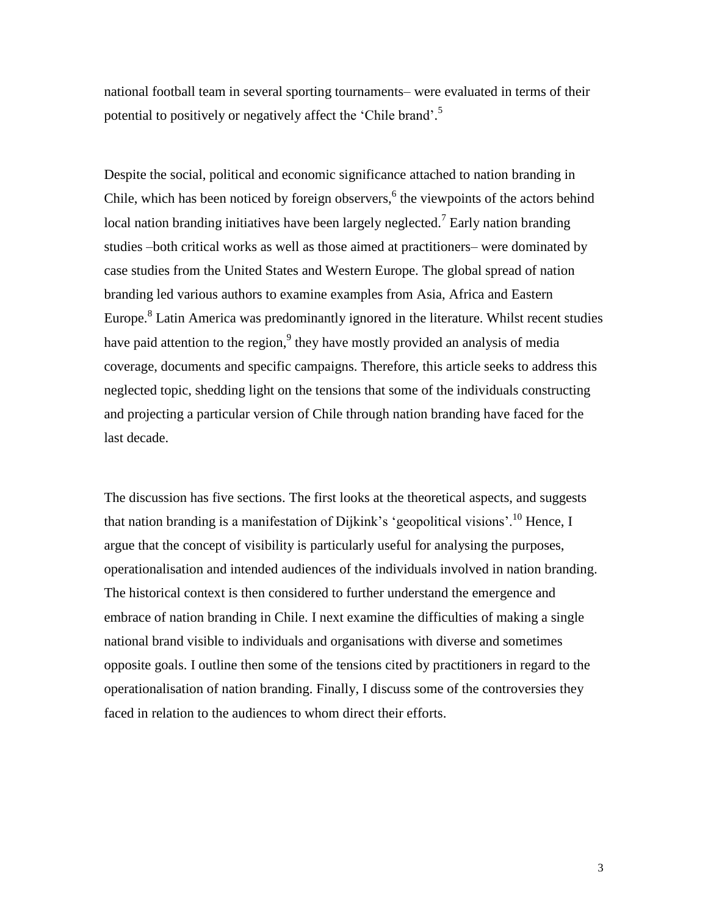national football team in several sporting tournaments– were evaluated in terms of their potential to positively or negatively affect the 'Chile brand'.<sup>5</sup>

Despite the social, political and economic significance attached to nation branding in Chile, which has been noticed by foreign observers,<sup>6</sup> the viewpoints of the actors behind local nation branding initiatives have been largely neglected.<sup>7</sup> Early nation branding studies –both critical works as well as those aimed at practitioners– were dominated by case studies from the United States and Western Europe. The global spread of nation branding led various authors to examine examples from Asia, Africa and Eastern Europe.<sup>8</sup> Latin America was predominantly ignored in the literature. Whilst recent studies have paid attention to the region,<sup>9</sup> they have mostly provided an analysis of media coverage, documents and specific campaigns. Therefore, this article seeks to address this neglected topic, shedding light on the tensions that some of the individuals constructing and projecting a particular version of Chile through nation branding have faced for the last decade.

The discussion has five sections. The first looks at the theoretical aspects, and suggests that nation branding is a manifestation of Dijkink's 'geopolitical visions'.<sup>10</sup> Hence, I argue that the concept of visibility is particularly useful for analysing the purposes, operationalisation and intended audiences of the individuals involved in nation branding. The historical context is then considered to further understand the emergence and embrace of nation branding in Chile. I next examine the difficulties of making a single national brand visible to individuals and organisations with diverse and sometimes opposite goals. I outline then some of the tensions cited by practitioners in regard to the operationalisation of nation branding. Finally, I discuss some of the controversies they faced in relation to the audiences to whom direct their efforts.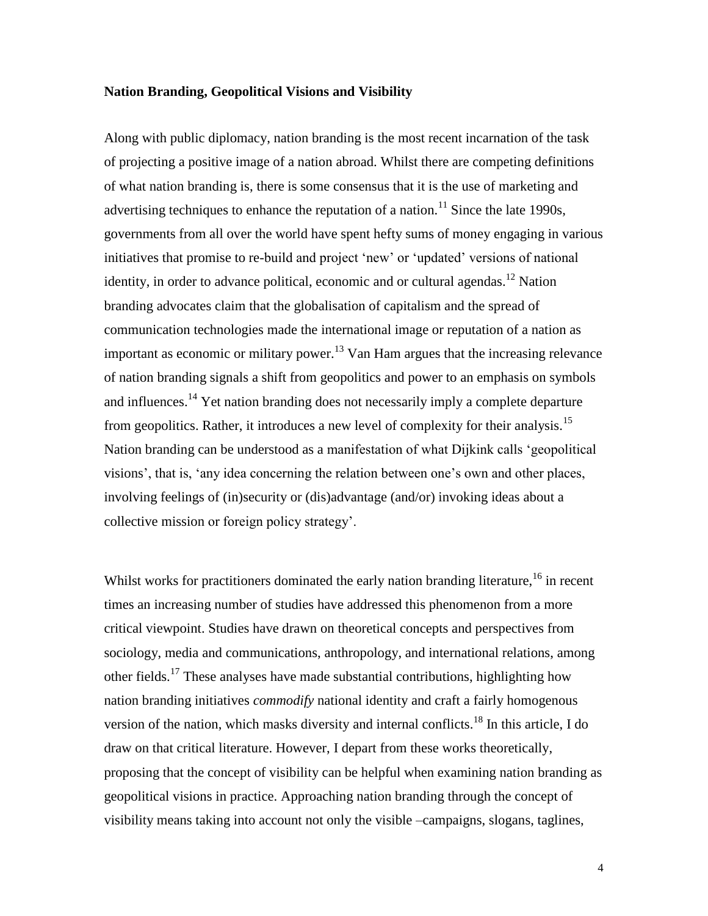#### **Nation Branding, Geopolitical Visions and Visibility**

Along with public diplomacy, nation branding is the most recent incarnation of the task of projecting a positive image of a nation abroad. Whilst there are competing definitions of what nation branding is, there is some consensus that it is the use of marketing and advertising techniques to enhance the reputation of a nation.<sup>11</sup> Since the late 1990s, governments from all over the world have spent hefty sums of money engaging in various initiatives that promise to re-build and project 'new' or 'updated' versions of national identity, in order to advance political, economic and or cultural agendas.<sup>12</sup> Nation branding advocates claim that the globalisation of capitalism and the spread of communication technologies made the international image or reputation of a nation as important as economic or military power.<sup>13</sup> Van Ham argues that the increasing relevance of nation branding signals a shift from geopolitics and power to an emphasis on symbols and influences.<sup>14</sup> Yet nation branding does not necessarily imply a complete departure from geopolitics. Rather, it introduces a new level of complexity for their analysis.<sup>15</sup> Nation branding can be understood as a manifestation of what Dijkink calls 'geopolitical visions', that is, 'any idea concerning the relation between one's own and other places, involving feelings of (in)security or (dis)advantage (and/or) invoking ideas about a collective mission or foreign policy strategy'.

Whilst works for practitioners dominated the early nation branding literature, <sup>16</sup> in recent times an increasing number of studies have addressed this phenomenon from a more critical viewpoint. Studies have drawn on theoretical concepts and perspectives from sociology, media and communications, anthropology, and international relations, among other fields.<sup>17</sup> These analyses have made substantial contributions, highlighting how nation branding initiatives *commodify* national identity and craft a fairly homogenous version of the nation, which masks diversity and internal conflicts.<sup>18</sup> In this article, I do draw on that critical literature. However, I depart from these works theoretically, proposing that the concept of visibility can be helpful when examining nation branding as geopolitical visions in practice. Approaching nation branding through the concept of visibility means taking into account not only the visible –campaigns, slogans, taglines,

4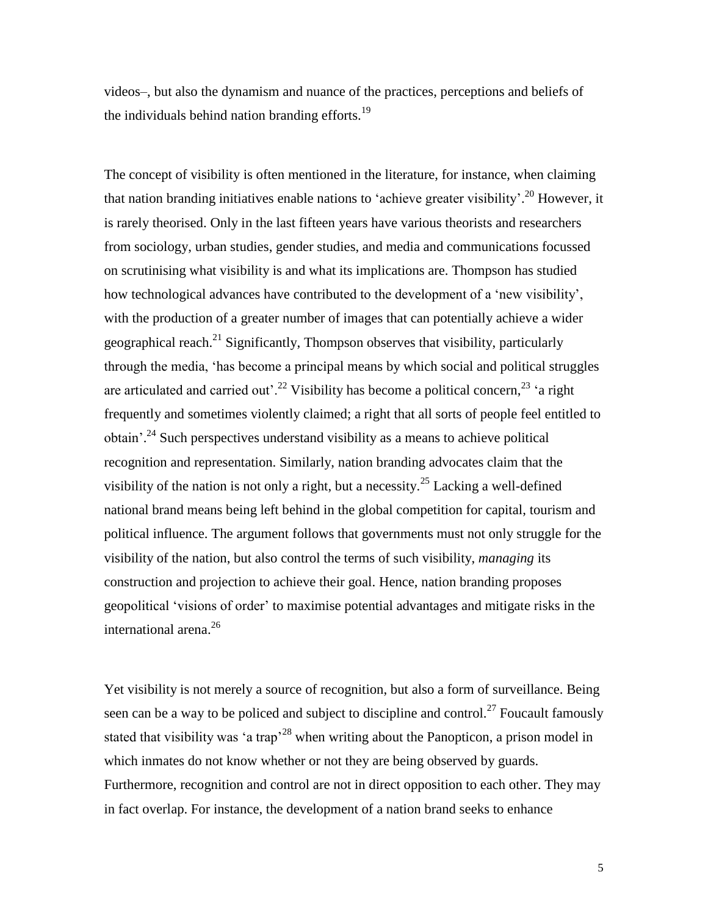videos–, but also the dynamism and nuance of the practices, perceptions and beliefs of the individuals behind nation branding efforts.<sup>19</sup>

The concept of visibility is often mentioned in the literature, for instance, when claiming that nation branding initiatives enable nations to 'achieve greater visibility'.<sup>20</sup> However, it is rarely theorised. Only in the last fifteen years have various theorists and researchers from sociology, urban studies, gender studies, and media and communications focussed on scrutinising what visibility is and what its implications are. Thompson has studied how technological advances have contributed to the development of a 'new visibility', with the production of a greater number of images that can potentially achieve a wider geographical reach.<sup>21</sup> Significantly, Thompson observes that visibility, particularly through the media, 'has become a principal means by which social and political struggles are articulated and carried out'.<sup>22</sup> Visibility has become a political concern,<sup>23</sup> 'a right frequently and sometimes violently claimed; a right that all sorts of people feel entitled to obtain'.<sup>24</sup> Such perspectives understand visibility as a means to achieve political recognition and representation. Similarly, nation branding advocates claim that the visibility of the nation is not only a right, but a necessity.<sup>25</sup> Lacking a well-defined national brand means being left behind in the global competition for capital, tourism and political influence. The argument follows that governments must not only struggle for the visibility of the nation, but also control the terms of such visibility, *managing* its construction and projection to achieve their goal. Hence, nation branding proposes geopolitical 'visions of order' to maximise potential advantages and mitigate risks in the international arena. 26

Yet visibility is not merely a source of recognition, but also a form of surveillance. Being seen can be a way to be policed and subject to discipline and control.<sup>27</sup> Foucault famously stated that visibility was 'a trap<sup>228</sup> when writing about the Panopticon, a prison model in which inmates do not know whether or not they are being observed by guards. Furthermore, recognition and control are not in direct opposition to each other. They may in fact overlap. For instance, the development of a nation brand seeks to enhance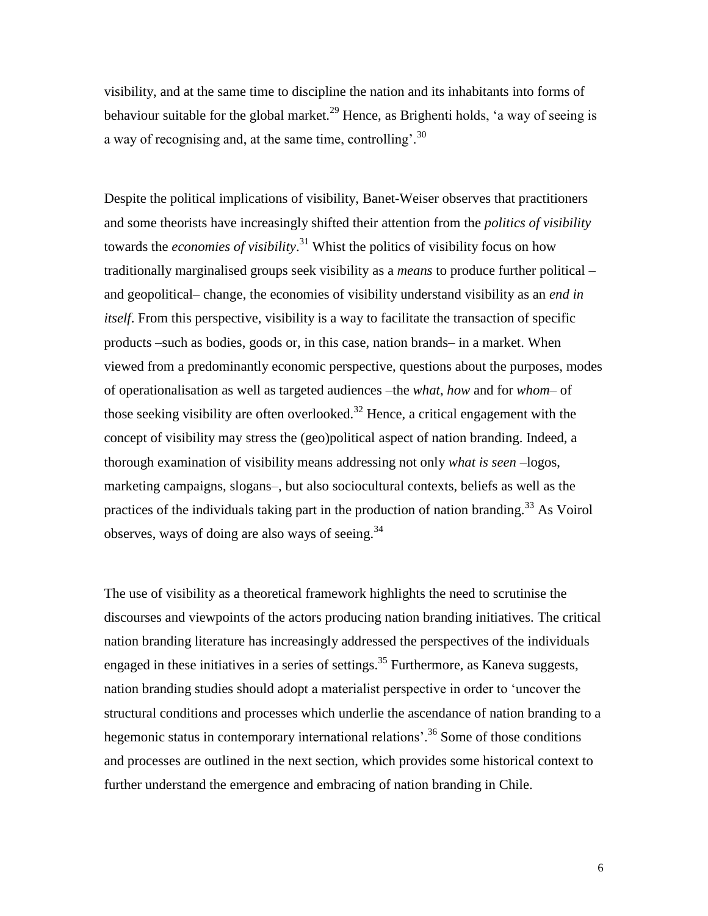visibility, and at the same time to discipline the nation and its inhabitants into forms of behaviour suitable for the global market.<sup>29</sup> Hence, as Brighenti holds, 'a way of seeing is a way of recognising and, at the same time, controlling<sup>30</sup>

Despite the political implications of visibility, Banet-Weiser observes that practitioners and some theorists have increasingly shifted their attention from the *politics of visibility* towards the *economies of visibility*. <sup>31</sup> Whist the politics of visibility focus on how traditionally marginalised groups seek visibility as a *means* to produce further political – and geopolitical– change, the economies of visibility understand visibility as an *end in itself*. From this perspective, visibility is a way to facilitate the transaction of specific products –such as bodies, goods or, in this case, nation brands– in a market. When viewed from a predominantly economic perspective, questions about the purposes, modes of operationalisation as well as targeted audiences –the *what*, *how* and for *whom*– of those seeking visibility are often overlooked.<sup>32</sup> Hence, a critical engagement with the concept of visibility may stress the (geo)political aspect of nation branding. Indeed, a thorough examination of visibility means addressing not only *what is seen* –logos, marketing campaigns, slogans–, but also sociocultural contexts, beliefs as well as the practices of the individuals taking part in the production of nation branding.<sup>33</sup> As Voirol observes, ways of doing are also ways of seeing.<sup>34</sup>

The use of visibility as a theoretical framework highlights the need to scrutinise the discourses and viewpoints of the actors producing nation branding initiatives. The critical nation branding literature has increasingly addressed the perspectives of the individuals engaged in these initiatives in a series of settings.<sup>35</sup> Furthermore, as Kaneva suggests, nation branding studies should adopt a materialist perspective in order to 'uncover the structural conditions and processes which underlie the ascendance of nation branding to a hegemonic status in contemporary international relations'.<sup>36</sup> Some of those conditions and processes are outlined in the next section, which provides some historical context to further understand the emergence and embracing of nation branding in Chile.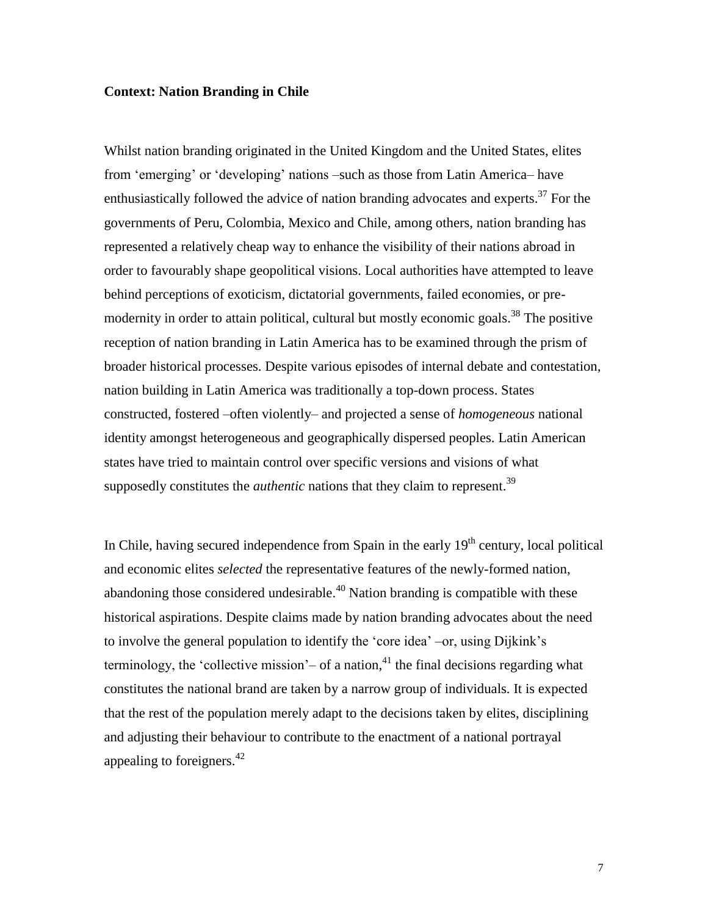#### **Context: Nation Branding in Chile**

Whilst nation branding originated in the United Kingdom and the United States, elites from 'emerging' or 'developing' nations –such as those from Latin America– have enthusiastically followed the advice of nation branding advocates and experts.<sup>37</sup> For the governments of Peru, Colombia, Mexico and Chile, among others, nation branding has represented a relatively cheap way to enhance the visibility of their nations abroad in order to favourably shape geopolitical visions. Local authorities have attempted to leave behind perceptions of exoticism, dictatorial governments, failed economies, or premodernity in order to attain political, cultural but mostly economic goals.<sup>38</sup> The positive reception of nation branding in Latin America has to be examined through the prism of broader historical processes. Despite various episodes of internal debate and contestation, nation building in Latin America was traditionally a top-down process. States constructed, fostered –often violently– and projected a sense of *homogeneous* national identity amongst heterogeneous and geographically dispersed peoples. Latin American states have tried to maintain control over specific versions and visions of what supposedly constitutes the *authentic* nations that they claim to represent. 39

In Chile, having secured independence from Spain in the early  $19<sup>th</sup>$  century, local political and economic elites *selected* the representative features of the newly-formed nation, abandoning those considered undesirable. $40$  Nation branding is compatible with these historical aspirations. Despite claims made by nation branding advocates about the need to involve the general population to identify the 'core idea' –or, using Dijkink's terminology, the 'collective mission' $-$  of a nation,<sup>41</sup> the final decisions regarding what constitutes the national brand are taken by a narrow group of individuals. It is expected that the rest of the population merely adapt to the decisions taken by elites, disciplining and adjusting their behaviour to contribute to the enactment of a national portrayal appealing to foreigners.<sup>42</sup>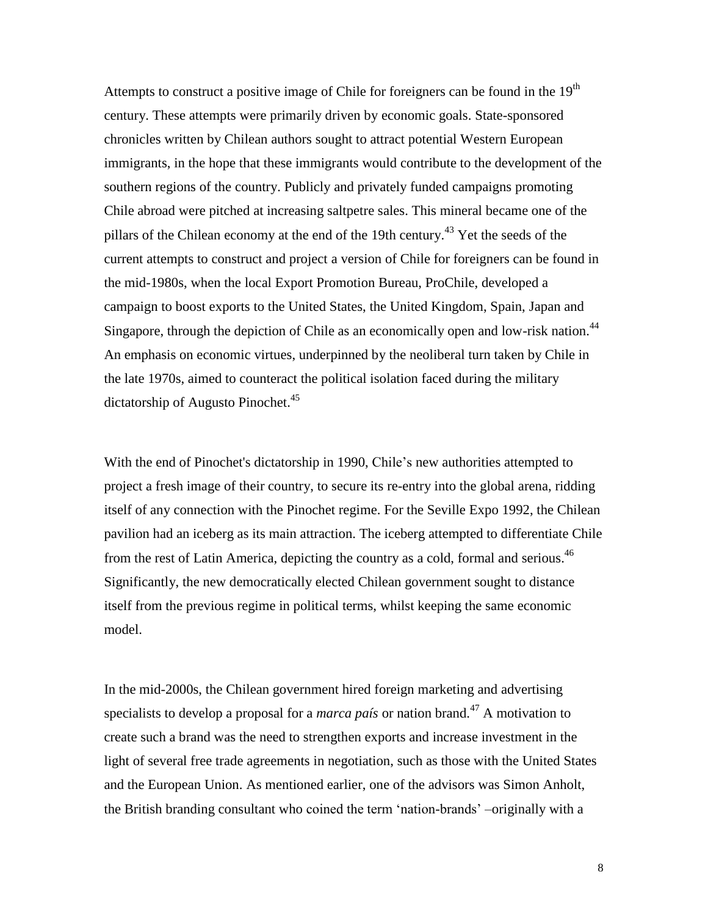Attempts to construct a positive image of Chile for foreigners can be found in the  $19<sup>th</sup>$ century. These attempts were primarily driven by economic goals. State-sponsored chronicles written by Chilean authors sought to attract potential Western European immigrants, in the hope that these immigrants would contribute to the development of the southern regions of the country. Publicly and privately funded campaigns promoting Chile abroad were pitched at increasing saltpetre sales. This mineral became one of the pillars of the Chilean economy at the end of the 19th century.<sup>43</sup> Yet the seeds of the current attempts to construct and project a version of Chile for foreigners can be found in the mid-1980s, when the local Export Promotion Bureau, ProChile, developed a campaign to boost exports to the United States, the United Kingdom, Spain, Japan and Singapore, through the depiction of Chile as an economically open and low-risk nation.<sup>44</sup> An emphasis on economic virtues, underpinned by the neoliberal turn taken by Chile in the late 1970s, aimed to counteract the political isolation faced during the military dictatorship of Augusto Pinochet.<sup>45</sup>

With the end of Pinochet's dictatorship in 1990, Chile's new authorities attempted to project a fresh image of their country, to secure its re-entry into the global arena, ridding itself of any connection with the Pinochet regime. For the Seville Expo 1992, the Chilean pavilion had an iceberg as its main attraction. The iceberg attempted to differentiate Chile from the rest of Latin America, depicting the country as a cold, formal and serious.<sup>46</sup> Significantly, the new democratically elected Chilean government sought to distance itself from the previous regime in political terms, whilst keeping the same economic model.

In the mid-2000s, the Chilean government hired foreign marketing and advertising specialists to develop a proposal for a *marca país* or nation brand. <sup>47</sup> A motivation to create such a brand was the need to strengthen exports and increase investment in the light of several free trade agreements in negotiation, such as those with the United States and the European Union. As mentioned earlier, one of the advisors was Simon Anholt, the British branding consultant who coined the term 'nation-brands' –originally with a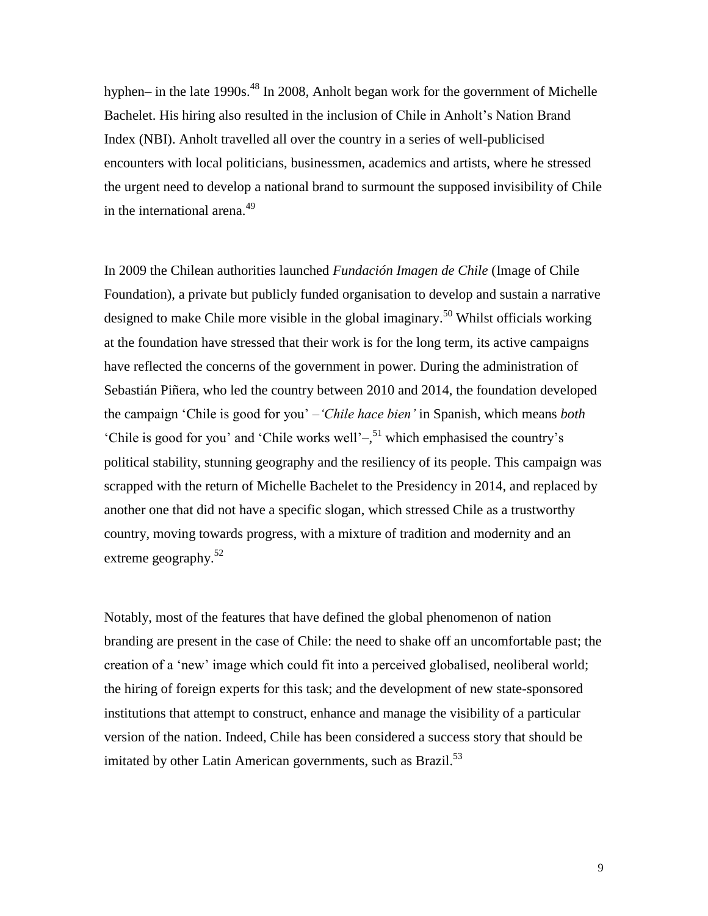hyphen– in the late 1990s.<sup>48</sup> In 2008, Anholt began work for the government of Michelle Bachelet. His hiring also resulted in the inclusion of Chile in Anholt's Nation Brand Index (NBI). Anholt travelled all over the country in a series of well-publicised encounters with local politicians, businessmen, academics and artists, where he stressed the urgent need to develop a national brand to surmount the supposed invisibility of Chile in the international arena.<sup>49</sup>

In 2009 the Chilean authorities launched *Fundación Imagen de Chile* (Image of Chile Foundation), a private but publicly funded organisation to develop and sustain a narrative designed to make Chile more visible in the global imaginary.<sup>50</sup> Whilst officials working at the foundation have stressed that their work is for the long term, its active campaigns have reflected the concerns of the government in power. During the administration of Sebastián Piñera, who led the country between 2010 and 2014, the foundation developed the campaign 'Chile is good for you' *–'Chile hace bien'* in Spanish, which means *both* 'Chile is good for you' and 'Chile works well' $-\frac{51}{3}$  which emphasised the country's political stability, stunning geography and the resiliency of its people. This campaign was scrapped with the return of Michelle Bachelet to the Presidency in 2014, and replaced by another one that did not have a specific slogan, which stressed Chile as a trustworthy country, moving towards progress, with a mixture of tradition and modernity and an extreme geography.<sup>52</sup>

Notably, most of the features that have defined the global phenomenon of nation branding are present in the case of Chile: the need to shake off an uncomfortable past; the creation of a 'new' image which could fit into a perceived globalised, neoliberal world; the hiring of foreign experts for this task; and the development of new state-sponsored institutions that attempt to construct, enhance and manage the visibility of a particular version of the nation. Indeed, Chile has been considered a success story that should be imitated by other Latin American governments, such as Brazil.<sup>53</sup>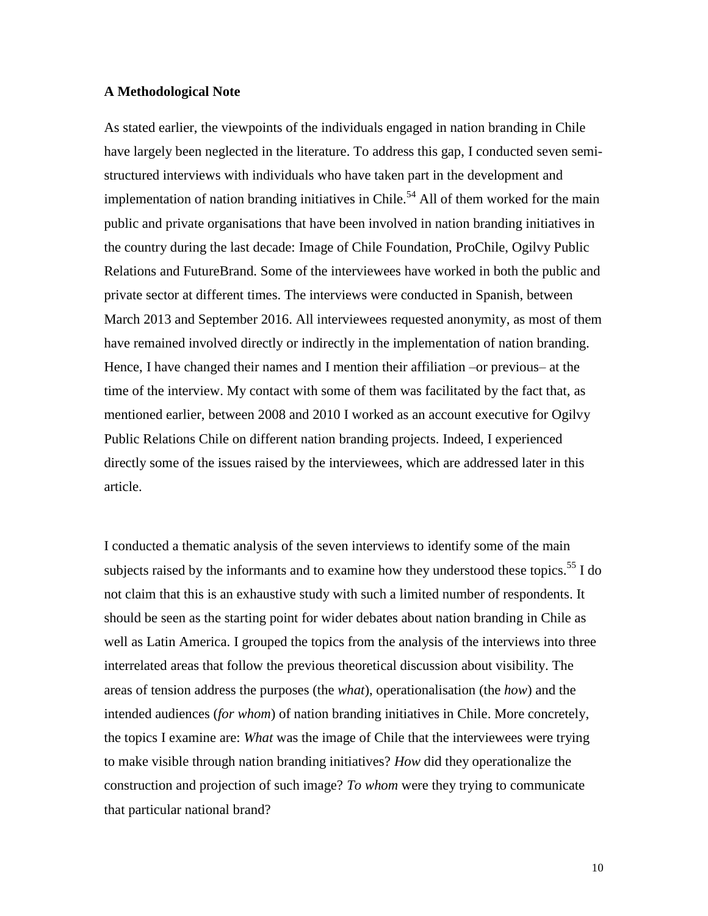#### **A Methodological Note**

As stated earlier, the viewpoints of the individuals engaged in nation branding in Chile have largely been neglected in the literature. To address this gap, I conducted seven semistructured interviews with individuals who have taken part in the development and implementation of nation branding initiatives in Chile.<sup>54</sup> All of them worked for the main public and private organisations that have been involved in nation branding initiatives in the country during the last decade: Image of Chile Foundation, ProChile, Ogilvy Public Relations and FutureBrand. Some of the interviewees have worked in both the public and private sector at different times. The interviews were conducted in Spanish, between March 2013 and September 2016. All interviewees requested anonymity, as most of them have remained involved directly or indirectly in the implementation of nation branding. Hence, I have changed their names and I mention their affiliation –or previous– at the time of the interview. My contact with some of them was facilitated by the fact that, as mentioned earlier, between 2008 and 2010 I worked as an account executive for Ogilvy Public Relations Chile on different nation branding projects. Indeed, I experienced directly some of the issues raised by the interviewees, which are addressed later in this article.

I conducted a thematic analysis of the seven interviews to identify some of the main subjects raised by the informants and to examine how they understood these topics.<sup>55</sup> I do not claim that this is an exhaustive study with such a limited number of respondents. It should be seen as the starting point for wider debates about nation branding in Chile as well as Latin America. I grouped the topics from the analysis of the interviews into three interrelated areas that follow the previous theoretical discussion about visibility. The areas of tension address the purposes (the *what*), operationalisation (the *how*) and the intended audiences (*for whom*) of nation branding initiatives in Chile. More concretely, the topics I examine are: *What* was the image of Chile that the interviewees were trying to make visible through nation branding initiatives? *How* did they operationalize the construction and projection of such image? *To whom* were they trying to communicate that particular national brand?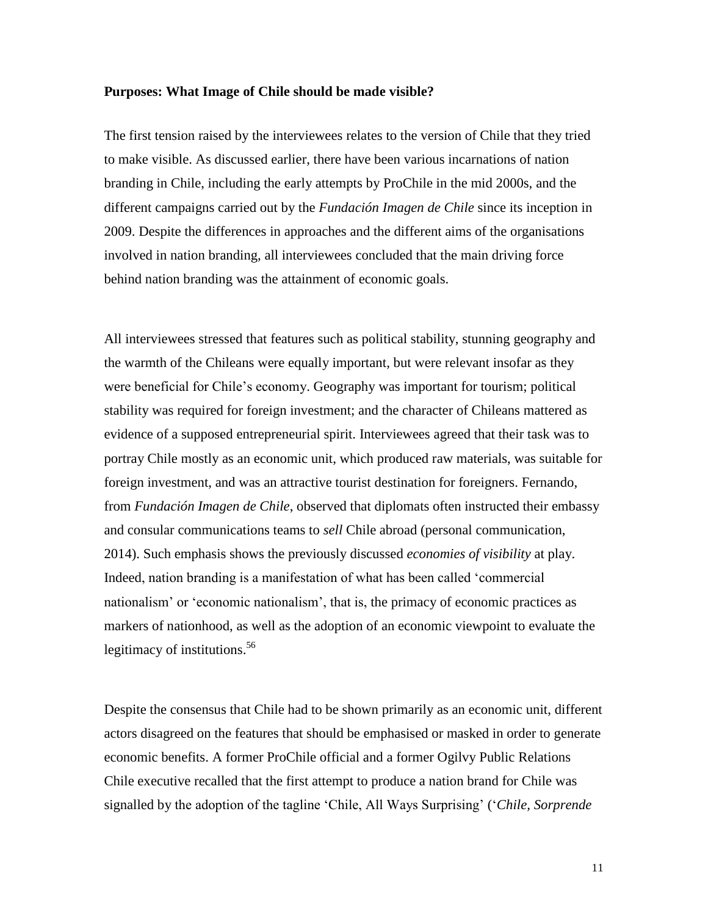#### **Purposes: What Image of Chile should be made visible?**

The first tension raised by the interviewees relates to the version of Chile that they tried to make visible. As discussed earlier, there have been various incarnations of nation branding in Chile, including the early attempts by ProChile in the mid 2000s, and the different campaigns carried out by the *Fundación Imagen de Chile* since its inception in 2009. Despite the differences in approaches and the different aims of the organisations involved in nation branding, all interviewees concluded that the main driving force behind nation branding was the attainment of economic goals.

All interviewees stressed that features such as political stability, stunning geography and the warmth of the Chileans were equally important, but were relevant insofar as they were beneficial for Chile's economy. Geography was important for tourism; political stability was required for foreign investment; and the character of Chileans mattered as evidence of a supposed entrepreneurial spirit. Interviewees agreed that their task was to portray Chile mostly as an economic unit, which produced raw materials, was suitable for foreign investment, and was an attractive tourist destination for foreigners. Fernando, from *Fundación Imagen de Chile*, observed that diplomats often instructed their embassy and consular communications teams to *sell* Chile abroad (personal communication, 2014). Such emphasis shows the previously discussed *economies of visibility* at play. Indeed, nation branding is a manifestation of what has been called 'commercial nationalism' or 'economic nationalism', that is, the primacy of economic practices as markers of nationhood, as well as the adoption of an economic viewpoint to evaluate the legitimacy of institutions.<sup>56</sup>

Despite the consensus that Chile had to be shown primarily as an economic unit, different actors disagreed on the features that should be emphasised or masked in order to generate economic benefits. A former ProChile official and a former Ogilvy Public Relations Chile executive recalled that the first attempt to produce a nation brand for Chile was signalled by the adoption of the tagline 'Chile, All Ways Surprising' ('*Chile, Sorprende*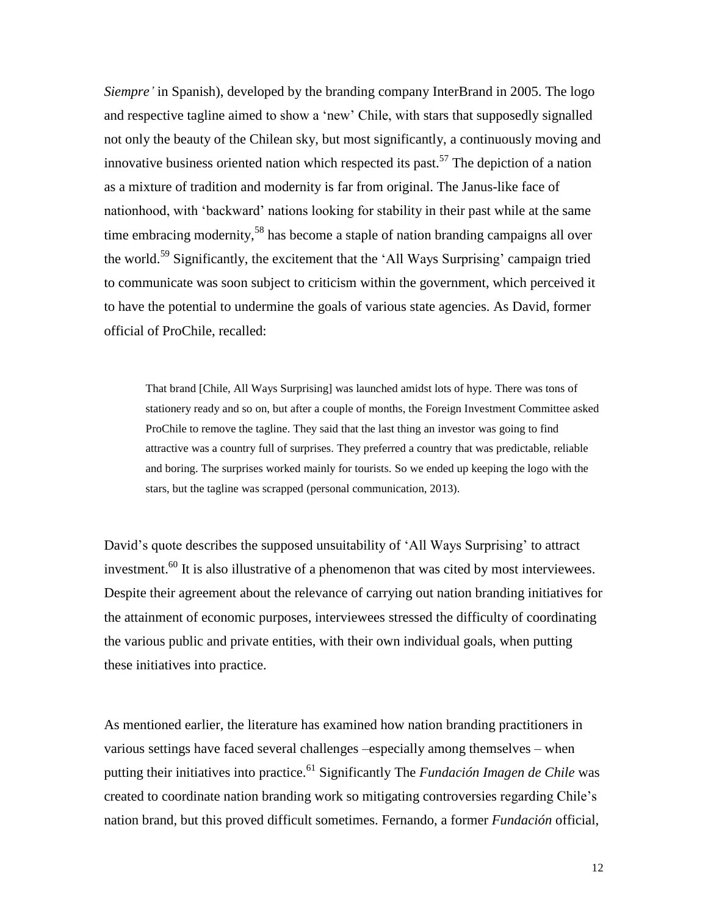*Siempre'* in Spanish), developed by the branding company InterBrand in 2005. The logo and respective tagline aimed to show a 'new' Chile, with stars that supposedly signalled not only the beauty of the Chilean sky, but most significantly, a continuously moving and innovative business oriented nation which respected its past.<sup>57</sup> The depiction of a nation as a mixture of tradition and modernity is far from original. The Janus-like face of nationhood, with 'backward' nations looking for stability in their past while at the same time embracing modernity,<sup>58</sup> has become a staple of nation branding campaigns all over the world.<sup>59</sup> Significantly, the excitement that the 'All Ways Surprising' campaign tried to communicate was soon subject to criticism within the government, which perceived it to have the potential to undermine the goals of various state agencies. As David, former official of ProChile, recalled:

That brand [Chile, All Ways Surprising] was launched amidst lots of hype. There was tons of stationery ready and so on, but after a couple of months, the Foreign Investment Committee asked ProChile to remove the tagline. They said that the last thing an investor was going to find attractive was a country full of surprises. They preferred a country that was predictable, reliable and boring. The surprises worked mainly for tourists. So we ended up keeping the logo with the stars, but the tagline was scrapped (personal communication, 2013).

David's quote describes the supposed unsuitability of 'All Ways Surprising' to attract investment.<sup>60</sup> It is also illustrative of a phenomenon that was cited by most interviewees. Despite their agreement about the relevance of carrying out nation branding initiatives for the attainment of economic purposes, interviewees stressed the difficulty of coordinating the various public and private entities, with their own individual goals, when putting these initiatives into practice.

As mentioned earlier, the literature has examined how nation branding practitioners in various settings have faced several challenges –especially among themselves – when putting their initiatives into practice.<sup>61</sup> Significantly The *Fundación Imagen de Chile* was created to coordinate nation branding work so mitigating controversies regarding Chile's nation brand, but this proved difficult sometimes. Fernando, a former *Fundación* official,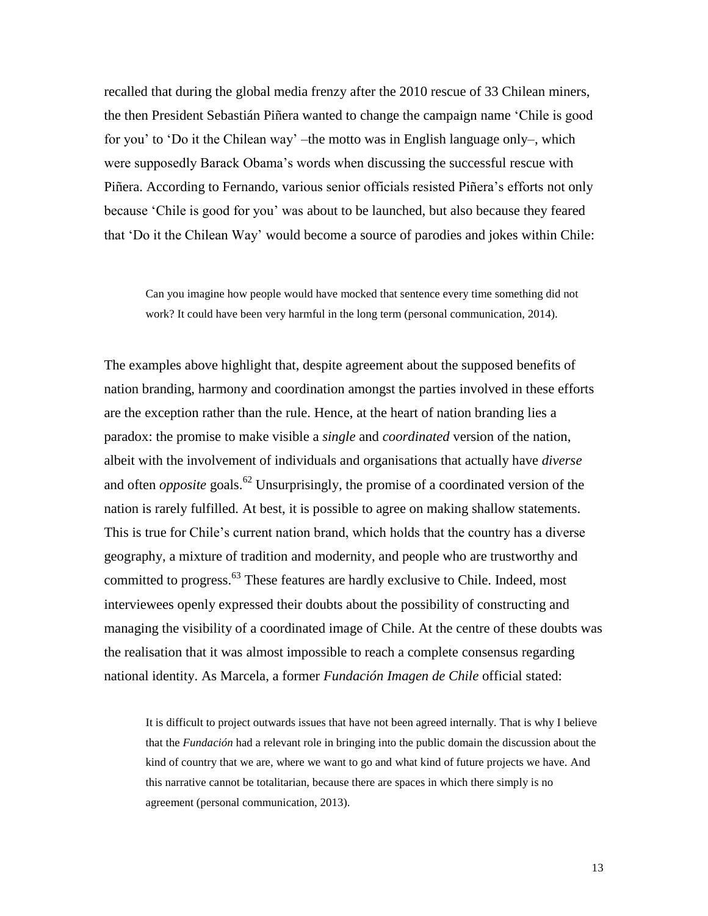recalled that during the global media frenzy after the 2010 rescue of 33 Chilean miners, the then President Sebastián Piñera wanted to change the campaign name 'Chile is good for you' to 'Do it the Chilean way' –the motto was in English language only–, which were supposedly Barack Obama's words when discussing the successful rescue with Piñera. According to Fernando, various senior officials resisted Piñera's efforts not only because 'Chile is good for you' was about to be launched, but also because they feared that 'Do it the Chilean Way' would become a source of parodies and jokes within Chile:

Can you imagine how people would have mocked that sentence every time something did not work? It could have been very harmful in the long term (personal communication, 2014).

The examples above highlight that, despite agreement about the supposed benefits of nation branding, harmony and coordination amongst the parties involved in these efforts are the exception rather than the rule. Hence, at the heart of nation branding lies a paradox: the promise to make visible a *single* and *coordinated* version of the nation, albeit with the involvement of individuals and organisations that actually have *diverse* and often *opposite* goals. <sup>62</sup> Unsurprisingly, the promise of a coordinated version of the nation is rarely fulfilled. At best, it is possible to agree on making shallow statements. This is true for Chile's current nation brand, which holds that the country has a diverse geography, a mixture of tradition and modernity, and people who are trustworthy and committed to progress.<sup>63</sup> These features are hardly exclusive to Chile. Indeed, most interviewees openly expressed their doubts about the possibility of constructing and managing the visibility of a coordinated image of Chile. At the centre of these doubts was the realisation that it was almost impossible to reach a complete consensus regarding national identity. As Marcela, a former *Fundación Imagen de Chile* official stated:

It is difficult to project outwards issues that have not been agreed internally. That is why I believe that the *Fundación* had a relevant role in bringing into the public domain the discussion about the kind of country that we are, where we want to go and what kind of future projects we have. And this narrative cannot be totalitarian, because there are spaces in which there simply is no agreement (personal communication, 2013).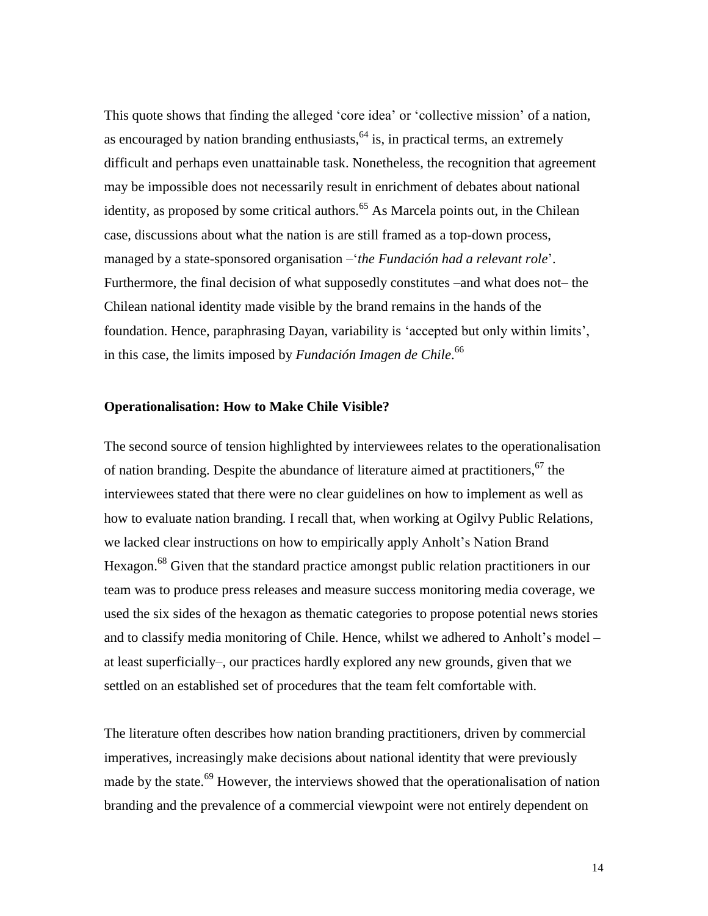This quote shows that finding the alleged 'core idea' or 'collective mission' of a nation, as encouraged by nation branding enthusiasts,  $64$  is, in practical terms, an extremely difficult and perhaps even unattainable task. Nonetheless, the recognition that agreement may be impossible does not necessarily result in enrichment of debates about national identity, as proposed by some critical authors.<sup>65</sup> As Marcela points out, in the Chilean case, discussions about what the nation is are still framed as a top-down process, managed by a state-sponsored organisation –'*the Fundación had a relevant role*'. Furthermore, the final decision of what supposedly constitutes –and what does not– the Chilean national identity made visible by the brand remains in the hands of the foundation. Hence, paraphrasing Dayan, variability is 'accepted but only within limits', in this case, the limits imposed by *Fundación Imagen de Chile*. 66

#### **Operationalisation: How to Make Chile Visible?**

The second source of tension highlighted by interviewees relates to the operationalisation of nation branding. Despite the abundance of literature aimed at practitioners,  $67$  the interviewees stated that there were no clear guidelines on how to implement as well as how to evaluate nation branding. I recall that, when working at Ogilvy Public Relations, we lacked clear instructions on how to empirically apply Anholt's Nation Brand Hexagon.<sup>68</sup> Given that the standard practice amongst public relation practitioners in our team was to produce press releases and measure success monitoring media coverage, we used the six sides of the hexagon as thematic categories to propose potential news stories and to classify media monitoring of Chile. Hence, whilst we adhered to Anholt's model – at least superficially–, our practices hardly explored any new grounds, given that we settled on an established set of procedures that the team felt comfortable with.

The literature often describes how nation branding practitioners, driven by commercial imperatives, increasingly make decisions about national identity that were previously made by the state.<sup>69</sup> However, the interviews showed that the operationalisation of nation branding and the prevalence of a commercial viewpoint were not entirely dependent on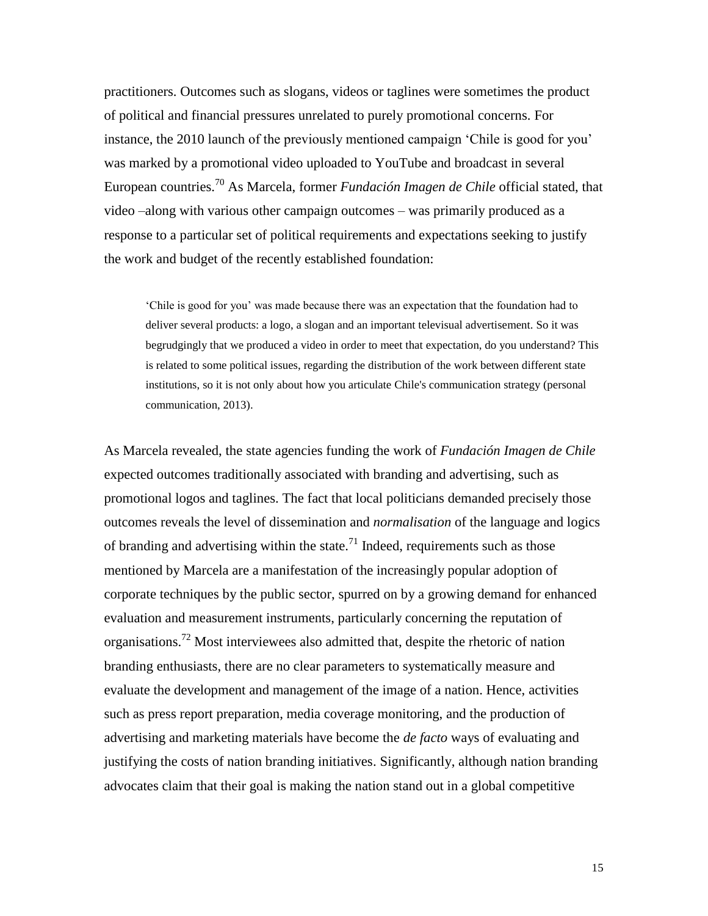practitioners. Outcomes such as slogans, videos or taglines were sometimes the product of political and financial pressures unrelated to purely promotional concerns. For instance, the 2010 launch of the previously mentioned campaign 'Chile is good for you' was marked by a promotional video uploaded to YouTube and broadcast in several European countries.<sup>70</sup> As Marcela, former *Fundación Imagen de Chile* official stated, that video –along with various other campaign outcomes – was primarily produced as a response to a particular set of political requirements and expectations seeking to justify the work and budget of the recently established foundation:

'Chile is good for you' was made because there was an expectation that the foundation had to deliver several products: a logo, a slogan and an important televisual advertisement. So it was begrudgingly that we produced a video in order to meet that expectation, do you understand? This is related to some political issues, regarding the distribution of the work between different state institutions, so it is not only about how you articulate Chile's communication strategy (personal communication, 2013).

As Marcela revealed, the state agencies funding the work of *Fundación Imagen de Chile* expected outcomes traditionally associated with branding and advertising, such as promotional logos and taglines. The fact that local politicians demanded precisely those outcomes reveals the level of dissemination and *normalisation* of the language and logics of branding and advertising within the state.<sup>71</sup> Indeed, requirements such as those mentioned by Marcela are a manifestation of the increasingly popular adoption of corporate techniques by the public sector, spurred on by a growing demand for enhanced evaluation and measurement instruments, particularly concerning the reputation of organisations.<sup>72</sup> Most interviewees also admitted that, despite the rhetoric of nation branding enthusiasts, there are no clear parameters to systematically measure and evaluate the development and management of the image of a nation. Hence, activities such as press report preparation, media coverage monitoring, and the production of advertising and marketing materials have become the *de facto* ways of evaluating and justifying the costs of nation branding initiatives. Significantly, although nation branding advocates claim that their goal is making the nation stand out in a global competitive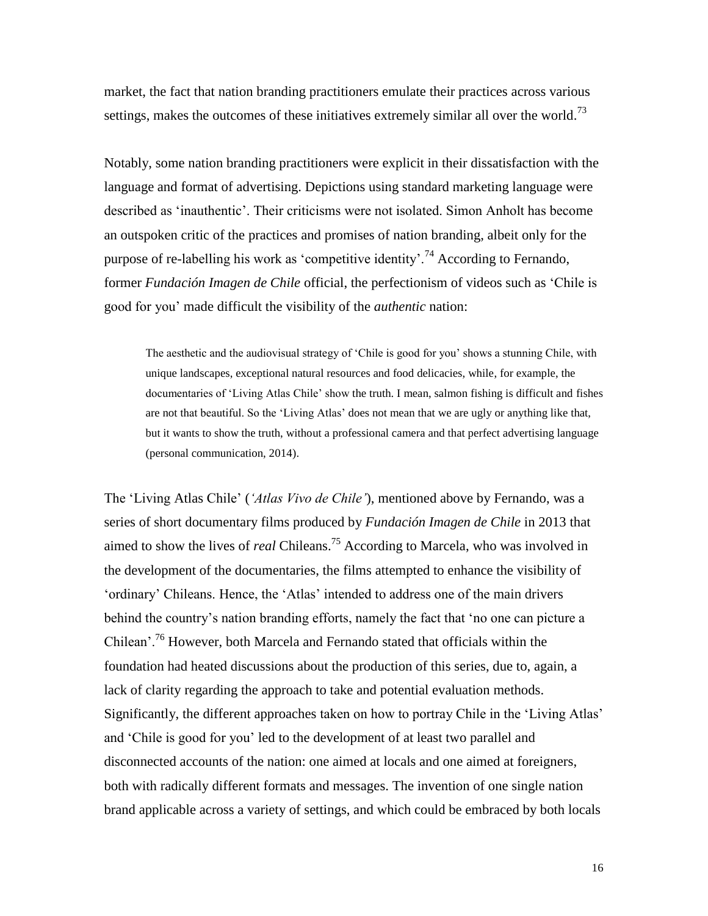market, the fact that nation branding practitioners emulate their practices across various settings, makes the outcomes of these initiatives extremely similar all over the world.<sup>73</sup>

Notably, some nation branding practitioners were explicit in their dissatisfaction with the language and format of advertising. Depictions using standard marketing language were described as 'inauthentic'. Their criticisms were not isolated. Simon Anholt has become an outspoken critic of the practices and promises of nation branding, albeit only for the purpose of re-labelling his work as 'competitive identity'.<sup>74</sup> According to Fernando, former *Fundación Imagen de Chile* official, the perfectionism of videos such as 'Chile is good for you' made difficult the visibility of the *authentic* nation:

The aesthetic and the audiovisual strategy of 'Chile is good for you' shows a stunning Chile, with unique landscapes, exceptional natural resources and food delicacies, while, for example, the documentaries of 'Living Atlas Chile' show the truth. I mean, salmon fishing is difficult and fishes are not that beautiful. So the 'Living Atlas' does not mean that we are ugly or anything like that, but it wants to show the truth, without a professional camera and that perfect advertising language (personal communication, 2014).

The 'Living Atlas Chile' (*'Atlas Vivo de Chile'*), mentioned above by Fernando, was a series of short documentary films produced by *Fundación Imagen de Chile* in 2013 that aimed to show the lives of *real* Chileans.<sup>75</sup> According to Marcela, who was involved in the development of the documentaries, the films attempted to enhance the visibility of 'ordinary' Chileans. Hence, the 'Atlas' intended to address one of the main drivers behind the country's nation branding efforts, namely the fact that 'no one can picture a Chilean'.<sup>76</sup> However, both Marcela and Fernando stated that officials within the foundation had heated discussions about the production of this series, due to, again, a lack of clarity regarding the approach to take and potential evaluation methods. Significantly, the different approaches taken on how to portray Chile in the 'Living Atlas' and 'Chile is good for you' led to the development of at least two parallel and disconnected accounts of the nation: one aimed at locals and one aimed at foreigners, both with radically different formats and messages. The invention of one single nation brand applicable across a variety of settings, and which could be embraced by both locals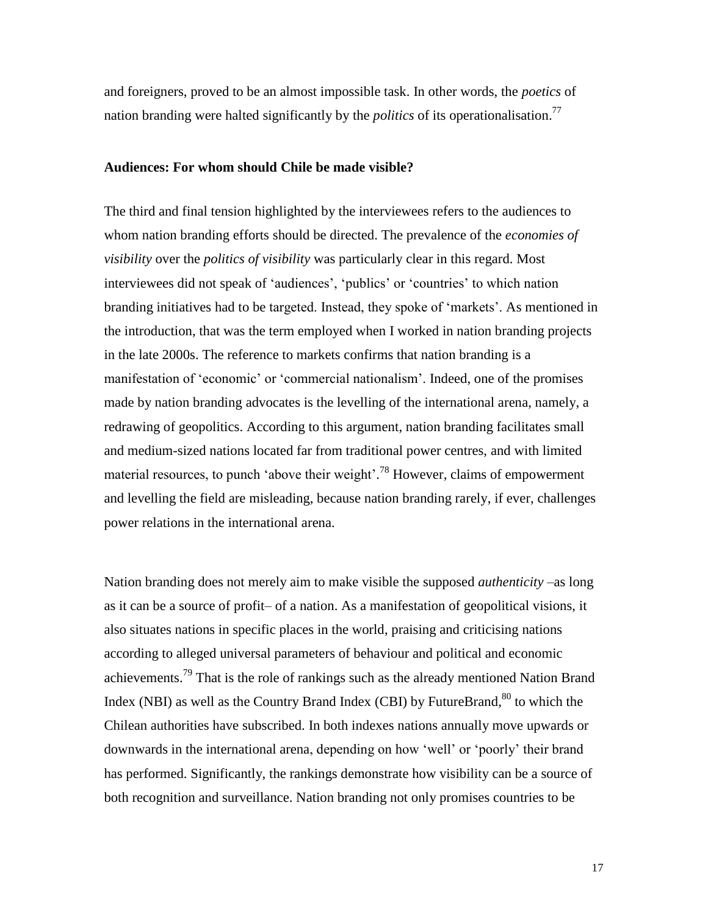and foreigners, proved to be an almost impossible task. In other words, the *poetics* of nation branding were halted significantly by the *politics* of its operationalisation. 77

#### **Audiences: For whom should Chile be made visible?**

The third and final tension highlighted by the interviewees refers to the audiences to whom nation branding efforts should be directed. The prevalence of the *economies of visibility* over the *politics of visibility* was particularly clear in this regard. Most interviewees did not speak of 'audiences', 'publics' or 'countries' to which nation branding initiatives had to be targeted. Instead, they spoke of 'markets'. As mentioned in the introduction, that was the term employed when I worked in nation branding projects in the late 2000s. The reference to markets confirms that nation branding is a manifestation of 'economic' or 'commercial nationalism'. Indeed, one of the promises made by nation branding advocates is the levelling of the international arena, namely, a redrawing of geopolitics. According to this argument, nation branding facilitates small and medium-sized nations located far from traditional power centres, and with limited material resources, to punch 'above their weight'.<sup>78</sup> However, claims of empowerment and levelling the field are misleading, because nation branding rarely, if ever, challenges power relations in the international arena.

Nation branding does not merely aim to make visible the supposed *authenticity* –as long as it can be a source of profit– of a nation. As a manifestation of geopolitical visions, it also situates nations in specific places in the world, praising and criticising nations according to alleged universal parameters of behaviour and political and economic achievements.<sup>79</sup> That is the role of rankings such as the already mentioned Nation Brand Index (NBI) as well as the Country Brand Index (CBI) by FutureBrand, <sup>80</sup> to which the Chilean authorities have subscribed. In both indexes nations annually move upwards or downwards in the international arena, depending on how 'well' or 'poorly' their brand has performed. Significantly, the rankings demonstrate how visibility can be a source of both recognition and surveillance. Nation branding not only promises countries to be

17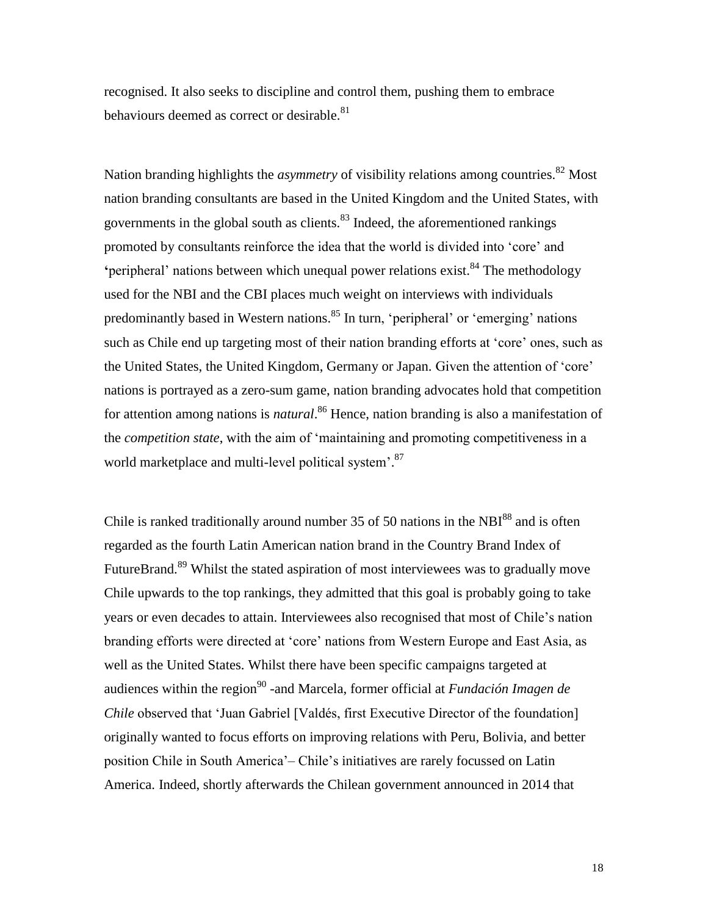recognised. It also seeks to discipline and control them, pushing them to embrace behaviours deemed as correct or desirable.<sup>81</sup>

Nation branding highlights the *asymmetry* of visibility relations among countries. <sup>82</sup> Most nation branding consultants are based in the United Kingdom and the United States, with governments in the global south as clients. $83$  Indeed, the aforementioned rankings promoted by consultants reinforce the idea that the world is divided into 'core' and 'peripheral' nations between which unequal power relations exist.<sup>84</sup> The methodology used for the NBI and the CBI places much weight on interviews with individuals predominantly based in Western nations.<sup>85</sup> In turn, 'peripheral' or 'emerging' nations such as Chile end up targeting most of their nation branding efforts at 'core' ones, such as the United States, the United Kingdom, Germany or Japan. Given the attention of 'core' nations is portrayed as a zero-sum game, nation branding advocates hold that competition for attention among nations is *natural*.<sup>86</sup> Hence, nation branding is also a manifestation of the *competition state*, with the aim of 'maintaining and promoting competitiveness in a world marketplace and multi-level political system'.<sup>87</sup>

Chile is ranked traditionally around number 35 of 50 nations in the  $NBI<sup>88</sup>$  and is often regarded as the fourth Latin American nation brand in the Country Brand Index of FutureBrand.<sup>89</sup> Whilst the stated aspiration of most interviewees was to gradually move Chile upwards to the top rankings, they admitted that this goal is probably going to take years or even decades to attain. Interviewees also recognised that most of Chile's nation branding efforts were directed at 'core' nations from Western Europe and East Asia, as well as the United States. Whilst there have been specific campaigns targeted at audiences within the region<sup>90</sup>-and Marcela, former official at *Fundación Imagen de Chile* observed that 'Juan Gabriel [Valdés, first Executive Director of the foundation] originally wanted to focus efforts on improving relations with Peru, Bolivia, and better position Chile in South America'– Chile's initiatives are rarely focussed on Latin America. Indeed, shortly afterwards the Chilean government announced in 2014 that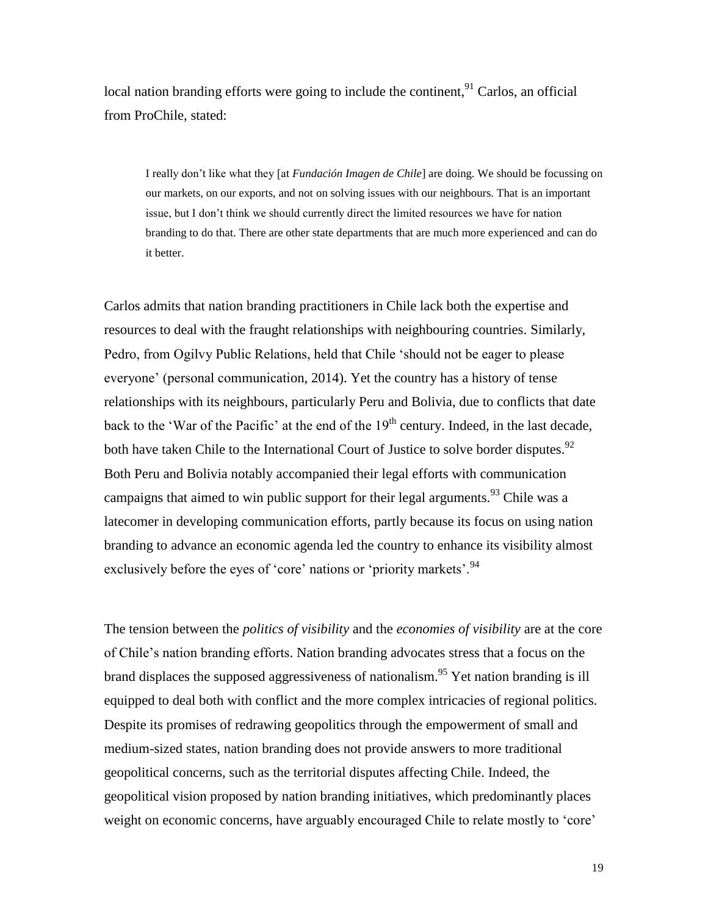local nation branding efforts were going to include the continent,<sup>91</sup> Carlos, an official from ProChile, stated:

I really don't like what they [at *Fundación Imagen de Chile*] are doing. We should be focussing on our markets, on our exports, and not on solving issues with our neighbours. That is an important issue, but I don't think we should currently direct the limited resources we have for nation branding to do that. There are other state departments that are much more experienced and can do it better.

Carlos admits that nation branding practitioners in Chile lack both the expertise and resources to deal with the fraught relationships with neighbouring countries. Similarly, Pedro, from Ogilvy Public Relations, held that Chile 'should not be eager to please everyone' (personal communication, 2014). Yet the country has a history of tense relationships with its neighbours, particularly Peru and Bolivia, due to conflicts that date back to the 'War of the Pacific' at the end of the  $19<sup>th</sup>$  century. Indeed, in the last decade, both have taken Chile to the International Court of Justice to solve border disputes.<sup>92</sup> Both Peru and Bolivia notably accompanied their legal efforts with communication campaigns that aimed to win public support for their legal arguments.<sup>93</sup> Chile was a latecomer in developing communication efforts, partly because its focus on using nation branding to advance an economic agenda led the country to enhance its visibility almost exclusively before the eyes of 'core' nations or 'priority markets'.<sup>94</sup>

The tension between the *politics of visibility* and the *economies of visibility* are at the core of Chile's nation branding efforts. Nation branding advocates stress that a focus on the brand displaces the supposed aggressiveness of nationalism.<sup>95</sup> Yet nation branding is ill equipped to deal both with conflict and the more complex intricacies of regional politics. Despite its promises of redrawing geopolitics through the empowerment of small and medium-sized states, nation branding does not provide answers to more traditional geopolitical concerns, such as the territorial disputes affecting Chile. Indeed, the geopolitical vision proposed by nation branding initiatives, which predominantly places weight on economic concerns, have arguably encouraged Chile to relate mostly to 'core'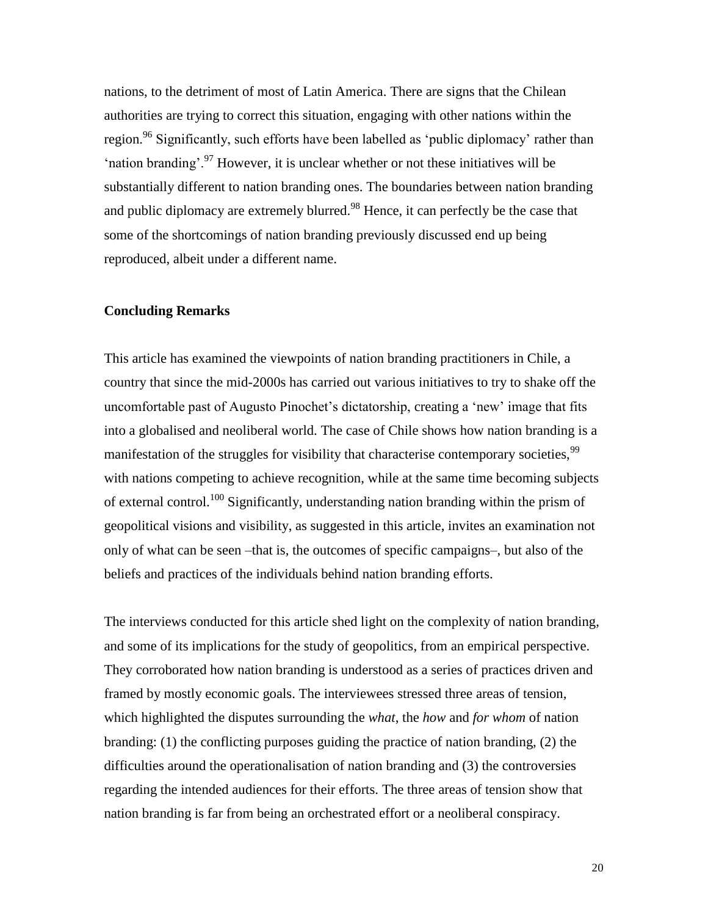nations, to the detriment of most of Latin America. There are signs that the Chilean authorities are trying to correct this situation, engaging with other nations within the region.<sup>96</sup> Significantly, such efforts have been labelled as 'public diplomacy' rather than 'nation branding'.<sup>97</sup> However, it is unclear whether or not these initiatives will be substantially different to nation branding ones. The boundaries between nation branding and public diplomacy are extremely blurred.<sup>98</sup> Hence, it can perfectly be the case that some of the shortcomings of nation branding previously discussed end up being reproduced, albeit under a different name.

#### **Concluding Remarks**

This article has examined the viewpoints of nation branding practitioners in Chile, a country that since the mid-2000s has carried out various initiatives to try to shake off the uncomfortable past of Augusto Pinochet's dictatorship, creating a 'new' image that fits into a globalised and neoliberal world. The case of Chile shows how nation branding is a manifestation of the struggles for visibility that characterise contemporary societies,<sup>99</sup> with nations competing to achieve recognition, while at the same time becoming subjects of external control.<sup>100</sup> Significantly, understanding nation branding within the prism of geopolitical visions and visibility, as suggested in this article, invites an examination not only of what can be seen –that is, the outcomes of specific campaigns–, but also of the beliefs and practices of the individuals behind nation branding efforts.

The interviews conducted for this article shed light on the complexity of nation branding, and some of its implications for the study of geopolitics, from an empirical perspective. They corroborated how nation branding is understood as a series of practices driven and framed by mostly economic goals. The interviewees stressed three areas of tension, which highlighted the disputes surrounding the *what*, the *how* and *for whom* of nation branding: (1) the conflicting purposes guiding the practice of nation branding, (2) the difficulties around the operationalisation of nation branding and (3) the controversies regarding the intended audiences for their efforts. The three areas of tension show that nation branding is far from being an orchestrated effort or a neoliberal conspiracy.

20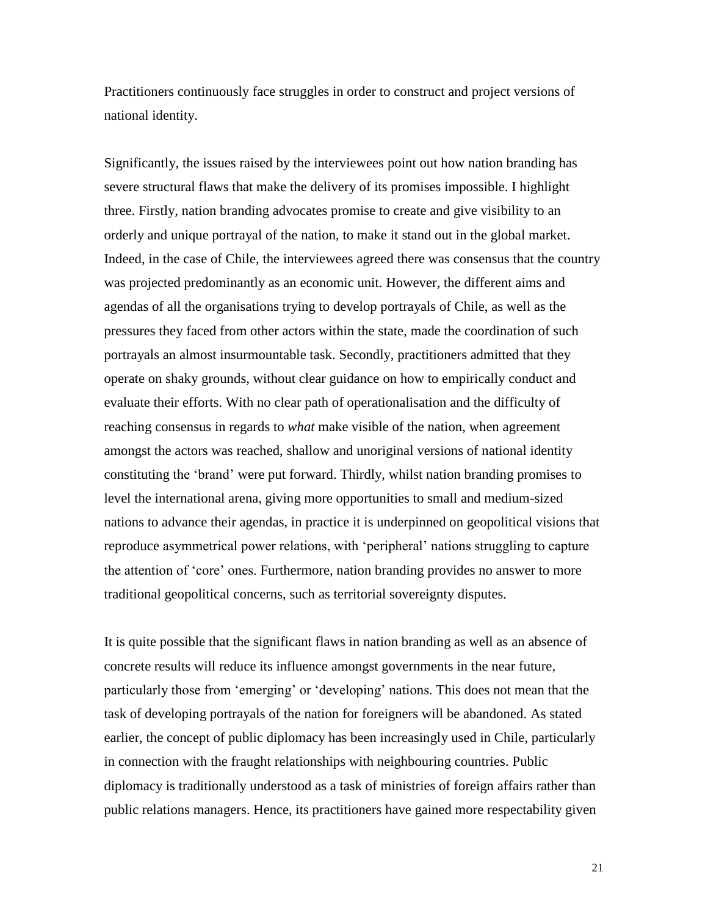Practitioners continuously face struggles in order to construct and project versions of national identity.

Significantly, the issues raised by the interviewees point out how nation branding has severe structural flaws that make the delivery of its promises impossible. I highlight three. Firstly, nation branding advocates promise to create and give visibility to an orderly and unique portrayal of the nation, to make it stand out in the global market. Indeed, in the case of Chile, the interviewees agreed there was consensus that the country was projected predominantly as an economic unit. However, the different aims and agendas of all the organisations trying to develop portrayals of Chile, as well as the pressures they faced from other actors within the state, made the coordination of such portrayals an almost insurmountable task. Secondly, practitioners admitted that they operate on shaky grounds, without clear guidance on how to empirically conduct and evaluate their efforts. With no clear path of operationalisation and the difficulty of reaching consensus in regards to *what* make visible of the nation, when agreement amongst the actors was reached, shallow and unoriginal versions of national identity constituting the 'brand' were put forward. Thirdly, whilst nation branding promises to level the international arena, giving more opportunities to small and medium-sized nations to advance their agendas, in practice it is underpinned on geopolitical visions that reproduce asymmetrical power relations, with 'peripheral' nations struggling to capture the attention of 'core' ones. Furthermore, nation branding provides no answer to more traditional geopolitical concerns, such as territorial sovereignty disputes.

It is quite possible that the significant flaws in nation branding as well as an absence of concrete results will reduce its influence amongst governments in the near future, particularly those from 'emerging' or 'developing' nations. This does not mean that the task of developing portrayals of the nation for foreigners will be abandoned. As stated earlier, the concept of public diplomacy has been increasingly used in Chile, particularly in connection with the fraught relationships with neighbouring countries. Public diplomacy is traditionally understood as a task of ministries of foreign affairs rather than public relations managers. Hence, its practitioners have gained more respectability given

21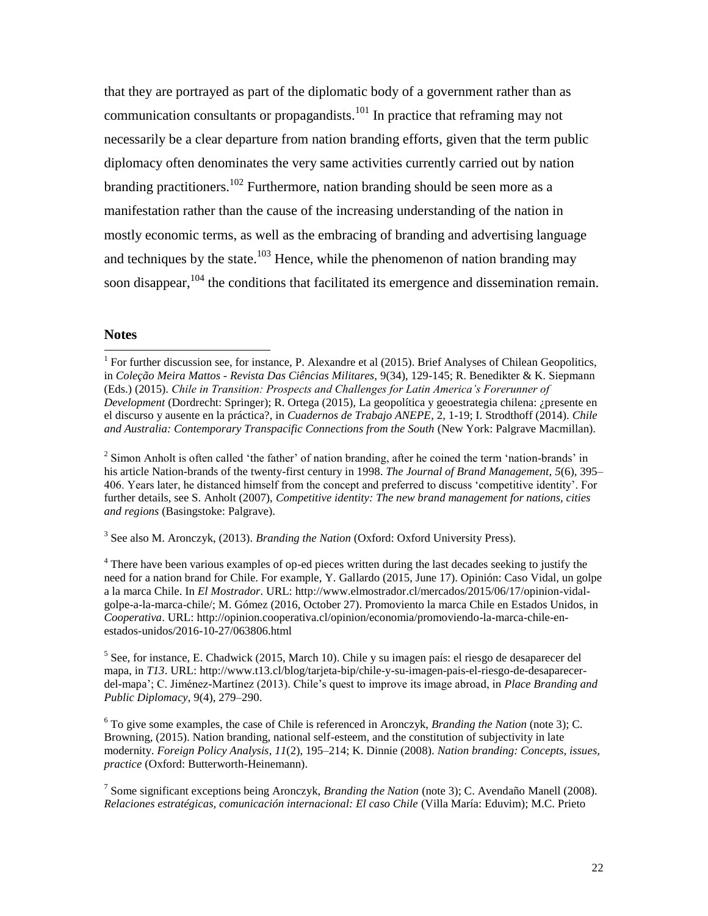that they are portrayed as part of the diplomatic body of a government rather than as communication consultants or propagandists.<sup>101</sup> In practice that reframing may not necessarily be a clear departure from nation branding efforts, given that the term public diplomacy often denominates the very same activities currently carried out by nation branding practitioners.<sup>102</sup> Furthermore, nation branding should be seen more as a manifestation rather than the cause of the increasing understanding of the nation in mostly economic terms, as well as the embracing of branding and advertising language and techniques by the state.<sup>103</sup> Hence, while the phenomenon of nation branding may soon disappear, <sup>104</sup> the conditions that facilitated its emergence and dissemination remain.

#### **Notes**

 $\overline{a}$ 

<sup>2</sup> Simon Anholt is often called 'the father' of nation branding, after he coined the term 'nation-brands' in his article Nation-brands of the twenty-first century in 1998. *The Journal of Brand Management*, *5*(6), 395– 406. Years later, he distanced himself from the concept and preferred to discuss 'competitive identity'. For further details, see S. Anholt (2007), *Competitive identity: The new brand management for nations, cities and regions* (Basingstoke: Palgrave).

3 See also M. Aronczyk, (2013). *Branding the Nation* (Oxford: Oxford University Press).

 $<sup>4</sup>$  There have been various examples of op-ed pieces written during the last decades seeking to justify the</sup> need for a nation brand for Chile. For example, Y. Gallardo (2015, June 17). Opinión: Caso Vidal, un golpe a la marca Chile. In *El Mostrador*. URL: http://www.elmostrador.cl/mercados/2015/06/17/opinion-vidalgolpe-a-la-marca-chile/; M. Gómez (2016, October 27). Promoviento la marca Chile en Estados Unidos, in *Cooperativa*. URL: [http://opinion.cooperativa.cl/opinion/economia/promoviendo-la-marca-chile-en](http://opinion.cooperativa.cl/opinion/economia/promoviendo-la-marca-chile-en-estados-unidos/2016-10-27/063806.html)[estados-unidos/2016-10-27/063806.html](http://opinion.cooperativa.cl/opinion/economia/promoviendo-la-marca-chile-en-estados-unidos/2016-10-27/063806.html)

<sup>5</sup> See, for instance, E. Chadwick (2015, March 10). Chile y su imagen país: el riesgo de desaparecer del mapa, in *T13*. URL: [http://www.t13.cl/blog/tarjeta-bip/chile-y-su-imagen-pais-el-riesgo-de-desaparecer](http://www.t13.cl/blog/tarjeta-bip/chile-y-su-imagen-pais-el-riesgo-de-desaparecer-del-mapa)[del-mapa'](http://www.t13.cl/blog/tarjeta-bip/chile-y-su-imagen-pais-el-riesgo-de-desaparecer-del-mapa); C. Jiménez-Martínez (2013). Chile's quest to improve its image abroad, in *Place Branding and Public Diplomacy*, 9(4), 279–290.

<sup>6</sup> To give some examples, the case of Chile is referenced in Aronczyk, *Branding the Nation* (note 3); C. Browning, (2015). Nation branding, national self-esteem, and the constitution of subjectivity in late modernity. *Foreign Policy Analysis*, *11*(2), 195–214; K. Dinnie (2008). *Nation branding: Concepts, issues, practice* (Oxford: Butterworth-Heinemann).

7 Some significant exceptions being Aronczyk, *Branding the Nation* (note 3); C. Avendaño Manell (2008). *Relaciones estratégicas, comunicación internacional: El caso Chile* (Villa María: Eduvim); M.C. Prieto

<sup>&</sup>lt;sup>1</sup> For further discussion see, for instance, P. Alexandre et al (2015). Brief Analyses of Chilean Geopolitics, in *Coleção Meira Mattos - Revista Das Ciências Militares*, 9(34), 129-145; R. Benedikter & K. Siepmann (Eds.) (2015). *Chile in Transition: Prospects and Challenges for Latin America's Forerunner of Development* (Dordrecht: Springer); R. Ortega (2015), La geopolítica y geoestrategia chilena: ¿presente en el discurso y ausente en la práctica?, in *Cuadernos de Trabajo ANEPE*, 2, 1-19; I. Strodthoff (2014). *Chile and Australia: Contemporary Transpacific Connections from the South* (New York: Palgrave Macmillan).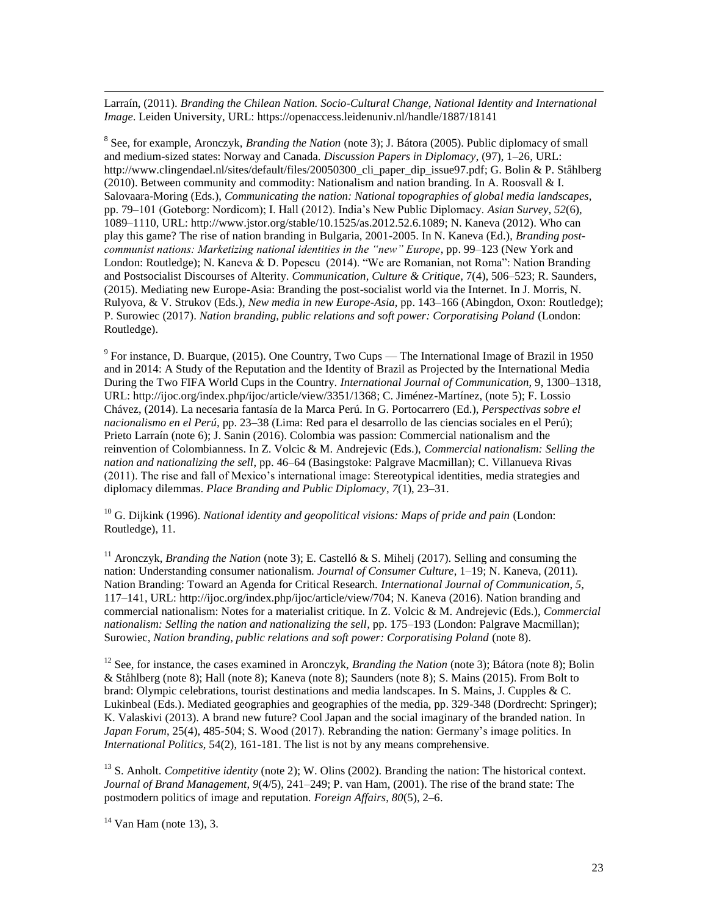Larraín, (2011). *Branding the Chilean Nation. Socio-Cultural Change, National Identity and International Image*. Leiden University, URL: https://openaccess.leidenuniv.nl/handle/1887/18141

8 See, for example, Aronczyk, *Branding the Nation* (note 3); J. Bátora (2005). Public diplomacy of small and medium-sized states: Norway and Canada. *Discussion Papers in Diplomacy*, (97), 1–26, URL: http://www.clingendael.nl/sites/default/files/20050300 cli paper dip\_issue97.pdf; G. Bolin & P. Ståhlberg (2010). Between community and commodity: Nationalism and nation branding. In A. Roosvall & I. Salovaara-Moring (Eds.), *Communicating the nation: National topographies of global media landscapes*, pp. 79–101 (Goteborg: Nordicom); I. Hall (2012). India's New Public Diplomacy. *Asian Survey*, *52*(6), 1089–1110, URL: [http://www.jstor.org/stable/10.1525/as.2012.52.6.1089;](http://www.jstor.org/stable/10.1525/as.2012.52.6.1089) N. Kaneva (2012). Who can play this game? The rise of nation branding in Bulgaria, 2001-2005. In N. Kaneva (Ed.), *Branding postcommunist nations: Marketizing national identities in the "new" Europe*, pp. 99–123 (New York and London: Routledge); N. Kaneva & D. Popescu (2014). "We are Romanian, not Roma": Nation Branding and Postsocialist Discourses of Alterity. *Communication, Culture & Critique*, 7(4), 506–523; R. Saunders, (2015). Mediating new Europe-Asia: Branding the post-socialist world via the Internet. In J. Morris, N. Rulyova, & V. Strukov (Eds.), *New media in new Europe-Asia*, pp. 143–166 (Abingdon, Oxon: Routledge); P. Surowiec (2017). *Nation branding, public relations and soft power: Corporatising Poland* (London: Routledge).

<sup>9</sup> For instance, D. Buarque, (2015). One Country, Two Cups — The International Image of Brazil in 1950 and in 2014: A Study of the Reputation and the Identity of Brazil as Projected by the International Media During the Two FIFA World Cups in the Country. *International Journal of Communication*, 9, 1300–1318, URL: [http://ijoc.org/index.php/ijoc/article/view/3351/1368;](http://ijoc.org/index.php/ijoc/article/view/3351/1368) C. Jiménez-Martínez, (note 5); F. Lossio Chávez, (2014). La necesaria fantasía de la Marca Perú. In G. Portocarrero (Ed.), *Perspectivas sobre el nacionalismo en el Perú,* pp. 23–38 (Lima: Red para el desarrollo de las ciencias sociales en el Perú); Prieto Larraín (note 6); J. Sanin (2016). Colombia was passion: Commercial nationalism and the reinvention of Colombianness. In Z. Volcic & M. Andrejevic (Eds.), *Commercial nationalism: Selling the nation and nationalizing the sell*, pp. 46–64 (Basingstoke: Palgrave Macmillan); C. Villanueva Rivas (2011). The rise and fall of Mexico's international image: Stereotypical identities, media strategies and diplomacy dilemmas. *Place Branding and Public Diplomacy*, *7*(1), 23–31.

<sup>10</sup> G. Dijkink (1996). *National identity and geopolitical visions: Maps of pride and pain* (London: Routledge), 11.

<sup>11</sup> Aronczyk, *Branding the Nation* (note 3); E. Castelló & S. Mihelj (2017). Selling and consuming the nation: Understanding consumer nationalism. *Journal of Consumer Culture*, 1–19; N. Kaneva, (2011). Nation Branding: Toward an Agenda for Critical Research. *International Journal of Communication*, *5*, 117–141, URL: [http://ijoc.org/index.php/ijoc/article/view/704;](http://ijoc.org/index.php/ijoc/article/view/704) N. Kaneva (2016). Nation branding and commercial nationalism: Notes for a materialist critique. In Z. Volcic & M. Andrejevic (Eds.), *Commercial nationalism: Selling the nation and nationalizing the sell*, pp. 175–193 (London: Palgrave Macmillan); Surowiec, *Nation branding, public relations and soft power: Corporatising Poland* (note 8).

<sup>12</sup> See, for instance, the cases examined in Aronczyk, *Branding the Nation* (note 3); Bátora (note 8); Bolin & Ståhlberg (note 8); Hall (note 8); Kaneva (note 8); Saunders (note 8); S. Mains (2015). From Bolt to brand: Olympic celebrations, tourist destinations and media landscapes. In S. Mains, J. Cupples & C. Lukinbeal (Eds.). Mediated geographies and geographies of the media, pp. 329-348 (Dordrecht: Springer); K. Valaskivi (2013). A brand new future? Cool Japan and the social imaginary of the branded nation. In *Japan Forum*, 25(4), 485-504; S. Wood (2017). Rebranding the nation: Germany's image politics. In *International Politics*, 54(2), 161-181. The list is not by any means comprehensive.

<sup>13</sup> S. Anholt. *Competitive identity* (note 2); W. Olins (2002). Branding the nation: The historical context. *Journal of Brand Management*, *9*(4/5), 241–249; P. van Ham, (2001). The rise of the brand state: The postmodern politics of image and reputation. *Foreign Affairs*, *80*(5), 2–6.

 $14$  Van Ham (note 13), 3.

 $\overline{a}$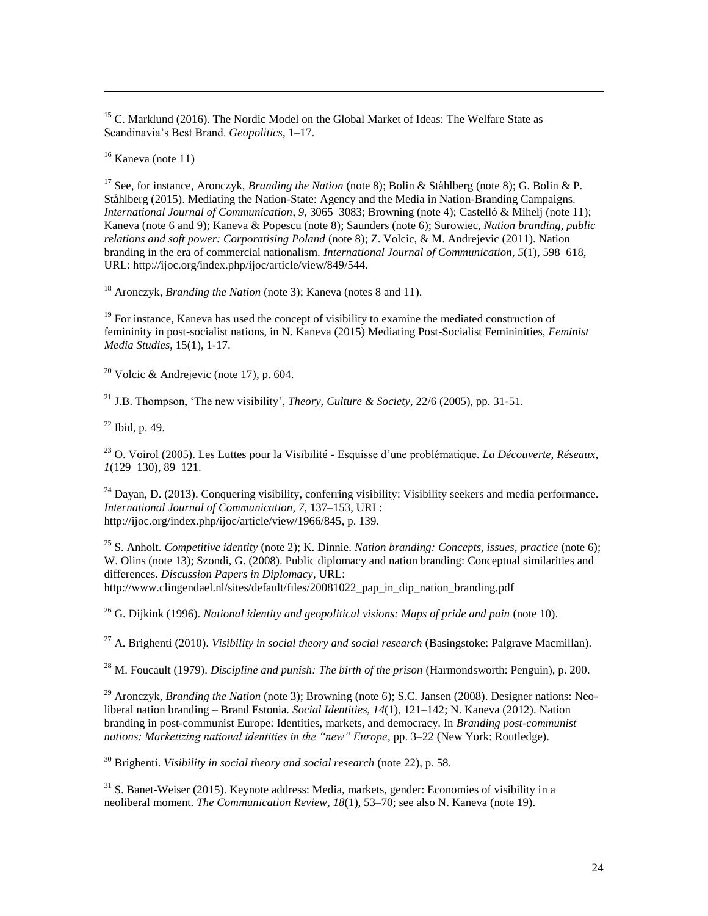$15$  C. Marklund (2016). The Nordic Model on the Global Market of Ideas: The Welfare State as Scandinavia's Best Brand. *Geopolitics*, 1–17.

 $16$  Kaneva (note 11)

 $\overline{a}$ 

<sup>17</sup> See, for instance, Aronczyk, *Branding the Nation* (note 8); Bolin & Ståhlberg (note 8); G. Bolin & P. Ståhlberg (2015). Mediating the Nation-State: Agency and the Media in Nation-Branding Campaigns. *International Journal of Communication*, *9*, 3065–3083; Browning (note 4); Castelló & Mihelj (note 11); Kaneva (note 6 and 9); Kaneva & Popescu (note 8); Saunders (note 6); Surowiec, *Nation branding, public relations and soft power: Corporatising Poland* (note 8); Z. Volcic, & M. Andrejevic (2011). Nation branding in the era of commercial nationalism. *International Journal of Communication*, *5*(1), 598–618, URL: http://ijoc.org/index.php/ijoc/article/view/849/544.

<sup>18</sup> Aronczyk, *Branding the Nation* (note 3); Kaneva (notes 8 and 11).

<sup>19</sup> For instance, Kaneva has used the concept of visibility to examine the mediated construction of femininity in post-socialist nations, in N. Kaneva (2015) Mediating Post-Socialist Femininities, *Feminist Media Studies*, 15(1), 1-17.

<sup>20</sup> Volcic & Andrejevic (note 17), p. 604.

<sup>21</sup> J.B. Thompson, 'The new visibility', *Theory, Culture & Society*, 22/6 (2005), pp. 31-51.

 $22$  Ibid, p. 49.

<sup>23</sup> O. Voirol (2005). Les Luttes pour la Visibilité - Esquisse d'une problématique. *La Découverte, Réseaux*, *1*(129–130), 89–121.

 $^{24}$  Dayan, D. (2013). Conquering visibility, conferring visibility: Visibility seekers and media performance. *International Journal of Communication*, *7*, 137–153, URL: [http://ijoc.org/index.php/ijoc/article/view/1966/845,](http://ijoc.org/index.php/ijoc/article/view/1966/845) p. 139.

<sup>25</sup> S. Anholt. *Competitive identity* (note 2); K. Dinnie. *Nation branding: Concepts, issues, practice* (note 6); W. Olins (note 13); Szondi, G. (2008). Public diplomacy and nation branding: Conceptual similarities and differences. *Discussion Papers in Diplomacy*, URL: http://www.clingendael.nl/sites/default/files/20081022\_pap\_in\_dip\_nation\_branding.pdf

<sup>26</sup> G. Dijkink (1996). *National identity and geopolitical visions: Maps of pride and pain* (note 10).

<sup>27</sup> A. Brighenti (2010). *Visibility in social theory and social research* (Basingstoke: Palgrave Macmillan).

<sup>28</sup> M. Foucault (1979). *Discipline and punish: The birth of the prison* (Harmondsworth: Penguin), p. 200.

<sup>29</sup> Aronczyk, *Branding the Nation* (note 3); Browning (note 6); S.C. Jansen (2008). Designer nations: Neoliberal nation branding – Brand Estonia. *Social Identities*, *14*(1), 121–142; N. Kaneva (2012). Nation branding in post-communist Europe: Identities, markets, and democracy. In *Branding post-communist nations: Marketizing national identities in the "new" Europe*, pp. 3–22 (New York: Routledge).

<sup>30</sup> Brighenti. *Visibility in social theory and social research* (note 22), p. 58.

<sup>31</sup> S. Banet-Weiser (2015). Keynote address: Media, markets, gender: Economies of visibility in a neoliberal moment. *The Communication Review*, *18*(1), 53–70; see also N. Kaneva (note 19).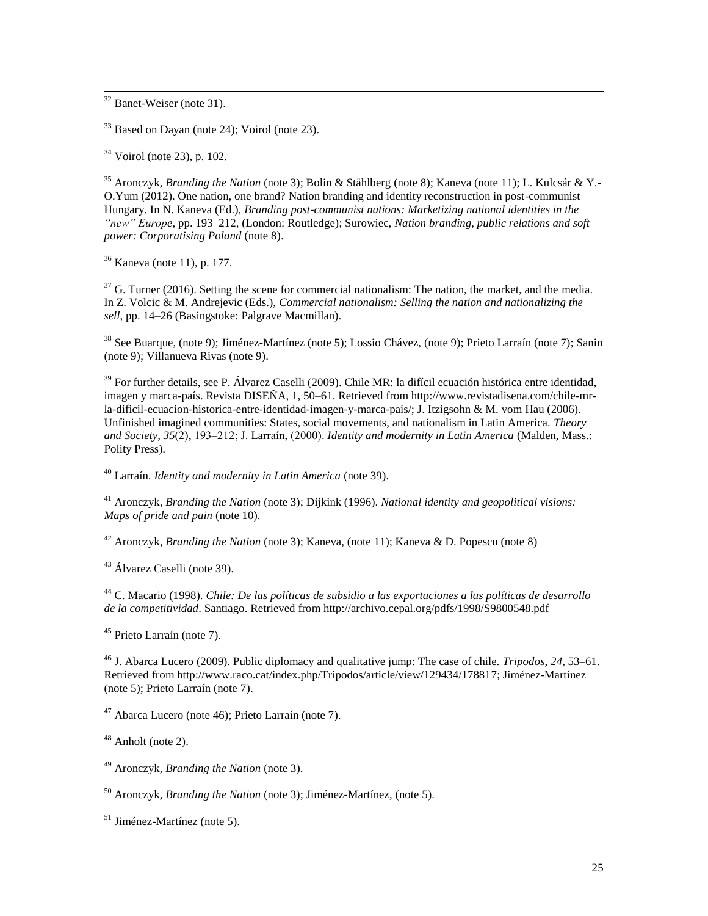$32$  Banet-Weiser (note 31).

 $\overline{a}$ 

<sup>33</sup> Based on Dayan (note 24); Voirol (note 23).

 $34$  Voirol (note 23), p. 102.

<sup>35</sup> Aronczyk, *Branding the Nation* (note 3); Bolin & Ståhlberg (note 8); Kaneva (note 11); L. Kulcsár & Y.- O.Yum (2012). One nation, one brand? Nation branding and identity reconstruction in post-communist Hungary. In N. Kaneva (Ed.), *Branding post-communist nations: Marketizing national identities in the "new" Europe*, pp. 193–212, (London: Routledge); Surowiec, *Nation branding, public relations and soft power: Corporatising Poland* (note 8).

<sup>36</sup> Kaneva (note 11), p. 177.

 $37$  G. Turner (2016). Setting the scene for commercial nationalism: The nation, the market, and the media. In Z. Volcic & M. Andrejevic (Eds.), *Commercial nationalism: Selling the nation and nationalizing the sell*, pp. 14–26 (Basingstoke: Palgrave Macmillan).

<sup>38</sup> See Buarque, (note 9); Jiménez-Martínez (note 5); Lossio Chávez, (note 9); Prieto Larraín (note 7); Sanin (note 9); Villanueva Rivas (note 9).

<sup>39</sup> For further details, see P. Álvarez Caselli (2009). Chile MR: la difícil ecuación histórica entre identidad, imagen y marca-país. Revista DISEÑA, 1, 50–61. Retrieved from [http://www.revistadisena.com/chile-mr](http://www.revistadisena.com/chile-mr-la-dificil-ecuacion-historica-entre-identidad-imagen-y-marca-pais/)[la-dificil-ecuacion-historica-entre-identidad-imagen-y-marca-pais/;](http://www.revistadisena.com/chile-mr-la-dificil-ecuacion-historica-entre-identidad-imagen-y-marca-pais/) J. Itzigsohn & M. vom Hau (2006). Unfinished imagined communities: States, social movements, and nationalism in Latin America. *Theory and Society*, *35*(2), 193–212; J. Larraín, (2000). *Identity and modernity in Latin America* (Malden, Mass.: Polity Press).

<sup>40</sup> Larraín. *Identity and modernity in Latin America* (note 39).

<sup>41</sup> Aronczyk, *Branding the Nation* (note 3); Dijkink (1996). *National identity and geopolitical visions: Maps of pride and pain* (note 10).

<sup>42</sup> Aronczyk, *Branding the Nation* (note 3); Kaneva, (note 11); Kaneva & D. Popescu (note 8)

<sup>43</sup> Álvarez Caselli (note 39).

<sup>44</sup> C. Macario (1998). *Chile: De las políticas de subsidio a las exportaciones a las políticas de desarrollo de la competitividad*. Santiago. Retrieved from http://archivo.cepal.org/pdfs/1998/S9800548.pdf

<sup>45</sup> Prieto Larraín (note 7).

<sup>46</sup> J. Abarca Lucero (2009). Public diplomacy and qualitative jump: The case of chile. *Tripodos*, *24*, 53–61. Retrieved from [http://www.raco.cat/index.php/Tripodos/article/view/129434/178817;](http://www.raco.cat/index.php/Tripodos/article/view/129434/178817) Jiménez-Martínez (note 5); Prieto Larraín (note 7).

 $47$  Abarca Lucero (note 46); Prieto Larraín (note 7).

 $48$  Anholt (note 2).

<sup>49</sup> Aronczyk, *Branding the Nation* (note 3).

<sup>50</sup> Aronczyk, *Branding the Nation* (note 3); Jiménez-Martínez, (note 5).

 $51$  Jiménez-Martínez (note 5).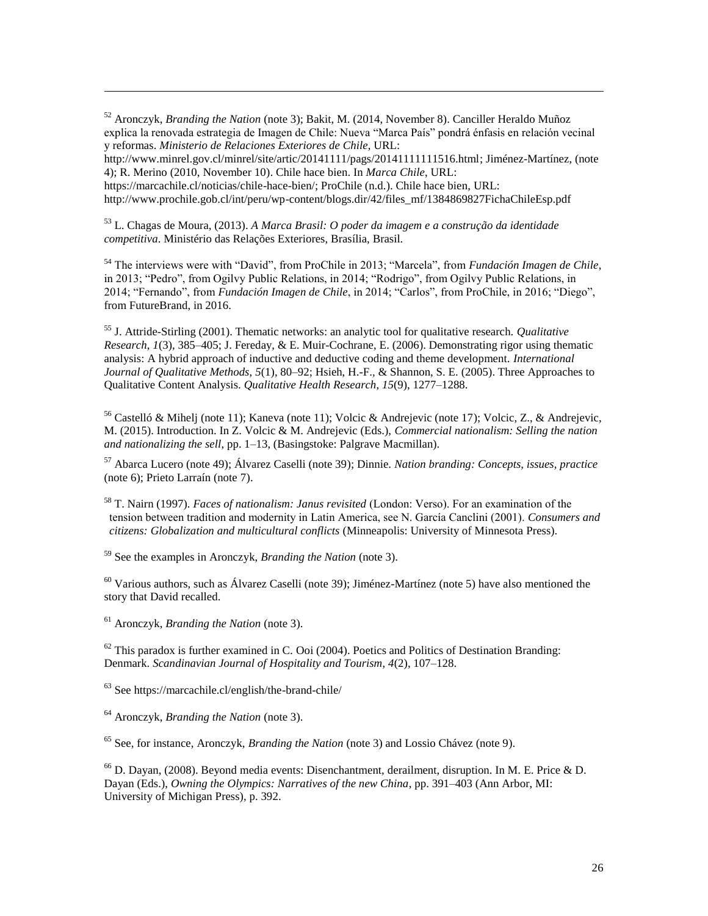<sup>52</sup> Aronczyk, *Branding the Nation* (note 3); Bakit, M. (2014, November 8). Canciller Heraldo Muñoz explica la renovada estrategia de Imagen de Chile: Nueva "Marca País" pondrá énfasis en relación vecinal y reformas. *Ministerio de Relaciones Exteriores de Chile*, URL:

[http://www.minrel.gov.cl/minrel/site/artic/20141111/pags/20141111111516.html;](http://www.minrel.gov.cl/minrel/site/artic/20141111/pags/20141111111516.html) Jiménez-Martínez, (note 4); R. Merino (2010, November 10). Chile hace bien. In *Marca Chile*, URL: [https://marcachile.cl/noticias/chile-hace-bien/;](https://marcachile.cl/noticias/chile-hace-bien/) ProChile (n.d.). Chile hace bien, URL:

http://www.prochile.gob.cl/int/peru/wp-content/blogs.dir/42/files\_mf/1384869827FichaChileEsp.pdf

<sup>53</sup> L. Chagas de Moura, (2013). *A Marca Brasil: O poder da imagem e a construção da identidade competitiva*. Ministério das Relações Exteriores, Brasília, Brasil.

<sup>54</sup> The interviews were with "David", from ProChile in 2013; "Marcela", from *Fundación Imagen de Chile*, in 2013; "Pedro", from Ogilvy Public Relations, in 2014; "Rodrigo", from Ogilvy Public Relations, in 2014; "Fernando", from *Fundación Imagen de Chile*, in 2014; "Carlos", from ProChile, in 2016; "Diego", from FutureBrand, in 2016.

<sup>55</sup> J. Attride-Stirling (2001). Thematic networks: an analytic tool for qualitative research. *Qualitative Research*, *1*(3), 385–405; J. Fereday, & E. Muir-Cochrane, E. (2006). Demonstrating rigor using thematic analysis: A hybrid approach of inductive and deductive coding and theme development. *International Journal of Qualitative Methods*, *5*(1), 80–92; Hsieh, H.-F., & Shannon, S. E. (2005). Three Approaches to Qualitative Content Analysis. *Qualitative Health Research*, *15*(9), 1277–1288.

<sup>56</sup> Castelló & Mihelj (note 11); Kaneva (note 11); Volcic & Andrejevic (note 17); Volcic, Z., & Andrejevic, M. (2015). Introduction. In Z. Volcic & M. Andrejevic (Eds.), *Commercial nationalism: Selling the nation and nationalizing the sell*, pp. 1–13, (Basingstoke: Palgrave Macmillan).

<sup>57</sup> Abarca Lucero (note 49); Álvarez Caselli (note 39); Dinnie. *Nation branding: Concepts, issues, practice* (note 6); Prieto Larraín (note 7).

<sup>58</sup> T. Nairn (1997). *Faces of nationalism: Janus revisited* (London: Verso). For an examination of the tension between tradition and modernity in Latin America, see N. García Canclini (2001). *Consumers and citizens: Globalization and multicultural conflicts* (Minneapolis: University of Minnesota Press).

<sup>59</sup> See the examples in Aronczyk, *Branding the Nation* (note 3).

 $60$  Various authors, such as Álvarez Caselli (note 39); Jiménez-Martínez (note 5) have also mentioned the story that David recalled.

<sup>61</sup> Aronczyk, *Branding the Nation* (note 3).

 $\overline{a}$ 

 $62$  This paradox is further examined in C. Ooi (2004). Poetics and Politics of Destination Branding: Denmark. *Scandinavian Journal of Hospitality and Tourism*, *4*(2), 107–128.

 $63$  See<https://marcachile.cl/english/the-brand-chile/>

<sup>64</sup> Aronczyk, *Branding the Nation* (note 3).

<sup>65</sup> See, for instance, Aronczyk, *Branding the Nation* (note 3) and Lossio Chávez (note 9).

 $^{66}$  D. Dayan, (2008). Beyond media events: Disenchantment, derailment, disruption. In M. E. Price & D. Dayan (Eds.), *Owning the Olympics: Narratives of the new China*, pp. 391–403 (Ann Arbor, MI: University of Michigan Press), p. 392.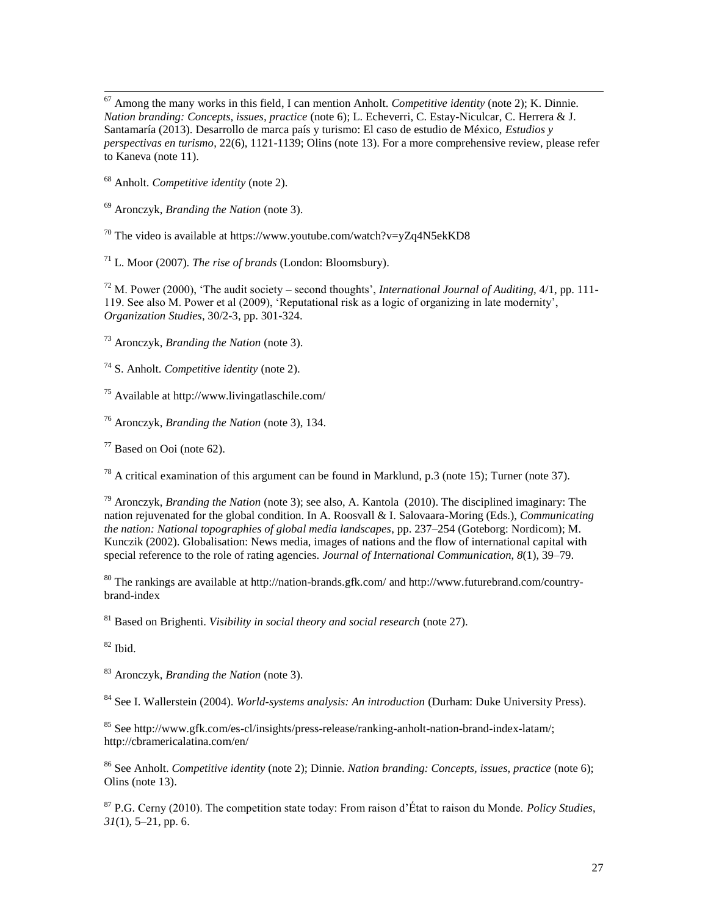$\overline{a}$ <sup>67</sup> Among the many works in this field, I can mention Anholt. *Competitive identity* (note 2); K. Dinnie. *Nation branding: Concepts, issues, practice* (note 6); L. Echeverri, C. Estay-Niculcar, C. Herrera & J. Santamaría (2013). Desarrollo de marca país y turismo: El caso de estudio de México, *Estudios y perspectivas en turismo*, 22(6), 1121-1139; Olins (note 13). For a more comprehensive review, please refer to Kaneva (note 11).

<sup>68</sup> Anholt. *Competitive identity* (note 2).

<sup>69</sup> Aronczyk, *Branding the Nation* (note 3).

<sup>70</sup> The video is available at<https://www.youtube.com/watch?v=yZq4N5ekKD8>

<sup>71</sup> L. Moor (2007). *The rise of brands* (London: Bloomsbury).

<sup>72</sup> M. Power (2000), 'The audit society – second thoughts', *International Journal of Auditing*, 4/1, pp. 111- 119. See also M. Power et al (2009), 'Reputational risk as a logic of organizing in late modernity', *Organization Studies*, 30/2-3, pp. 301-324.

<sup>73</sup> Aronczyk, *Branding the Nation* (note 3).

<sup>74</sup> S. Anholt. *Competitive identity* (note 2).

<sup>75</sup> Available at<http://www.livingatlaschile.com/>

<sup>76</sup> Aronczyk, *Branding the Nation* (note 3), 134.

 $77$  Based on Ooi (note 62).

 $^{78}$  A critical examination of this argument can be found in Marklund, p.3 (note 15); Turner (note 37).

<sup>79</sup> Aronczyk, *Branding the Nation* (note 3); see also, A. Kantola (2010). The disciplined imaginary: The nation rejuvenated for the global condition. In A. Roosvall & I. Salovaara-Moring (Eds.), *Communicating the nation: National topographies of global media landscapes*, pp. 237–254 (Goteborg: Nordicom); M. Kunczik (2002). Globalisation: News media, images of nations and the flow of international capital with special reference to the role of rating agencies. *Journal of International Communication*, *8*(1), 39–79.

<sup>80</sup> The rankings are available at<http://nation-brands.gfk.com/> an[d http://www.futurebrand.com/country](http://www.futurebrand.com/country-brand-index)[brand-index](http://www.futurebrand.com/country-brand-index)

<sup>81</sup> Based on Brighenti. *Visibility in social theory and social research* (note 27).

 $82$  Ibid.

<sup>83</sup> Aronczyk, *Branding the Nation* (note 3).

<sup>84</sup> See I. Wallerstein (2004). *World-systems analysis: An introduction* (Durham: Duke University Press).

<sup>85</sup> See [http://www.gfk.com/es-cl/insights/press-release/ranking-anholt-nation-brand-index-latam/;](http://www.gfk.com/es-cl/insights/press-release/ranking-anholt-nation-brand-index-latam/) <http://cbramericalatina.com/en/>

<sup>86</sup> See Anholt. *Competitive identity* (note 2); Dinnie. *Nation branding: Concepts, issues, practice* (note 6); Olins (note 13).

<sup>87</sup> P.G. Cerny (2010). The competition state today: From raison d'État to raison du Monde. *Policy Studies*, *31*(1), 5–21, pp. 6.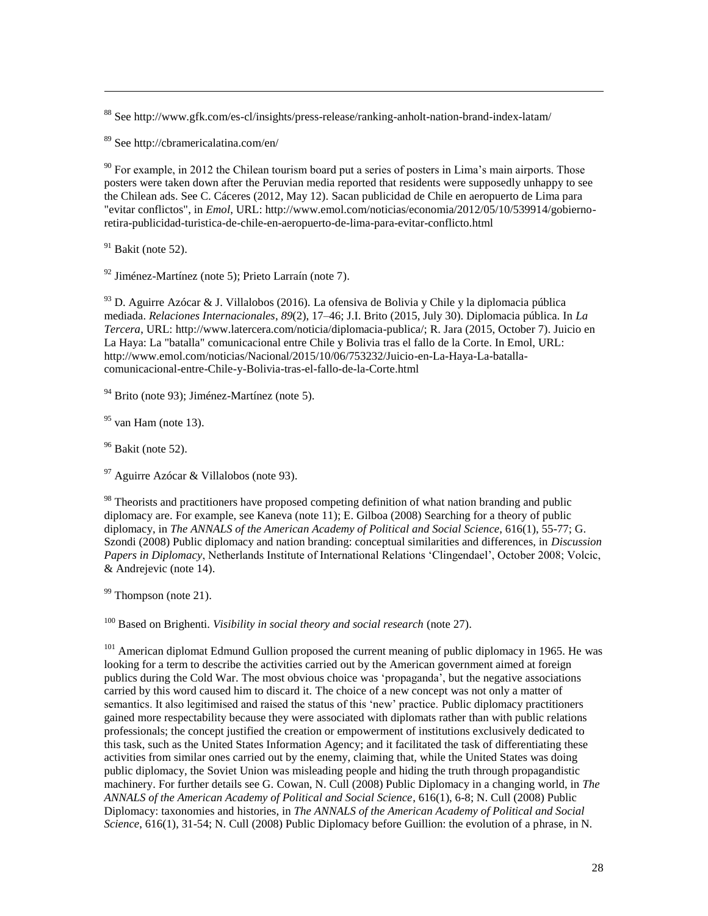<sup>88</sup> See<http://www.gfk.com/es-cl/insights/press-release/ranking-anholt-nation-brand-index-latam/>

<sup>89</sup> See<http://cbramericalatina.com/en/>

 $90$  For example, in 2012 the Chilean tourism board put a series of posters in Lima's main airports. Those posters were taken down after the Peruvian media reported that residents were supposedly unhappy to see the Chilean ads. See C. Cáceres (2012, May 12). Sacan publicidad de Chile en aeropuerto de Lima para "evitar conflictos", in *Emol*, URL: [http://www.emol.com/noticias/economia/2012/05/10/539914/gobierno](http://www.emol.com/noticias/economia/2012/05/10/539914/gobierno-retira-publicidad-turistica-de-chile-en-aeropuerto-de-lima-para-evitar-conflicto.html)[retira-publicidad-turistica-de-chile-en-aeropuerto-de-lima-para-evitar-conflicto.html](http://www.emol.com/noticias/economia/2012/05/10/539914/gobierno-retira-publicidad-turistica-de-chile-en-aeropuerto-de-lima-para-evitar-conflicto.html)

 $91$  Bakit (note 52).

 $\overline{a}$ 

<sup>92</sup> Jiménez-Martínez (note 5); Prieto Larraín (note 7).

<sup>93</sup> D. Aguirre Azócar & J. Villalobos (2016). La ofensiva de Bolivia y Chile y la diplomacia pública mediada. *Relaciones Internacionales*, *89*(2), 17–46; J.I. Brito (2015, July 30). Diplomacia pública. In *La Tercera*, URL: [http://www.latercera.com/noticia/diplomacia-publica/;](http://www.latercera.com/noticia/diplomacia-publica/) R. Jara (2015, October 7). Juicio en La Haya: La "batalla" comunicacional entre Chile y Bolivia tras el fallo de la Corte. In Emol, URL: [http://www.emol.com/noticias/Nacional/2015/10/06/753232/Juicio-en-La-Haya-La-batalla](http://www.emol.com/noticias/Nacional/2015/10/06/753232/Juicio-en-La-Haya-La-batalla-comunicacional-entre-Chile-y-Bolivia-tras-el-fallo-de-la-Corte.html)[comunicacional-entre-Chile-y-Bolivia-tras-el-fallo-de-la-Corte.html](http://www.emol.com/noticias/Nacional/2015/10/06/753232/Juicio-en-La-Haya-La-batalla-comunicacional-entre-Chile-y-Bolivia-tras-el-fallo-de-la-Corte.html)

<sup>94</sup> Brito (note 93); Jiménez-Martínez (note 5).

 $95$  van Ham (note 13).

 $96$  Bakit (note 52).

 $97$  Aguirre Azócar & Villalobos (note 93).

 $98$  Theorists and practitioners have proposed competing definition of what nation branding and public diplomacy are. For example, see Kaneva (note 11); E. Gilboa (2008) Searching for a theory of public diplomacy, in *The ANNALS of the American Academy of Political and Social Science*, 616(1), 55-77; G. Szondi (2008) Public diplomacy and nation branding: conceptual similarities and differences, in *Discussion Papers in Diplomacy*, Netherlands Institute of International Relations 'Clingendael', October 2008; Volcic, & Andrejevic (note 14).

 $99$  Thompson (note 21).

<sup>100</sup> Based on Brighenti. *Visibility in social theory and social research* (note 27).

<sup>101</sup> American diplomat Edmund Gullion proposed the current meaning of public diplomacy in 1965. He was looking for a term to describe the activities carried out by the American government aimed at foreign publics during the Cold War. The most obvious choice was 'propaganda', but the negative associations carried by this word caused him to discard it. The choice of a new concept was not only a matter of semantics. It also legitimised and raised the status of this 'new' practice. Public diplomacy practitioners gained more respectability because they were associated with diplomats rather than with public relations professionals; the concept justified the creation or empowerment of institutions exclusively dedicated to this task, such as the United States Information Agency; and it facilitated the task of differentiating these activities from similar ones carried out by the enemy, claiming that, while the United States was doing public diplomacy, the Soviet Union was misleading people and hiding the truth through propagandistic machinery. For further details see G. Cowan, N. Cull (2008) Public Diplomacy in a changing world, in *The ANNALS of the American Academy of Political and Social Science*, 616(1), 6-8; N. Cull (2008) Public Diplomacy: taxonomies and histories, in *The ANNALS of the American Academy of Political and Social Science*, 616(1), 31-54; N. Cull (2008) Public Diplomacy before Guillion: the evolution of a phrase, in N.